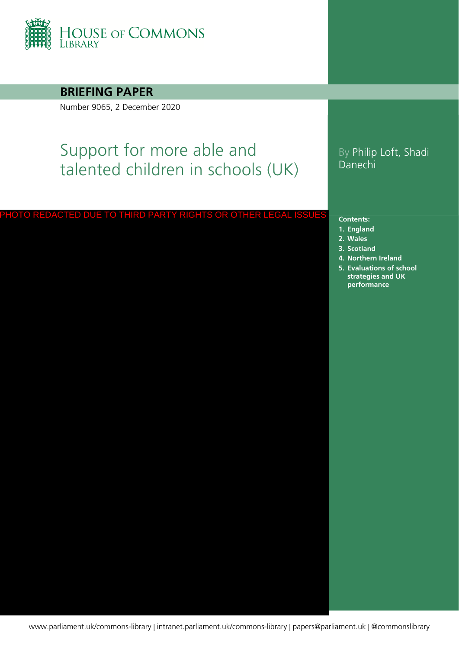

**BRIEFING PAPER**

Number 9065, 2 December 2020

# Support for more able and talented children in schools (UK)

### PHOTO REDACTED DUE TO THIRD PARTY RIGHTS OR OTHER LEGAL ISSUES

### By Philip Loft, Shadi Danechi

#### **Contents:**

- **1. [England](#page-4-0)**
- **2. [Wales](#page-16-0)**
- **3. [Scotland](#page-22-0)**
- **4. [Northern Ireland](#page-26-0)**
- **5. [Evaluations of school](#page-28-0)  strategies and UK performance**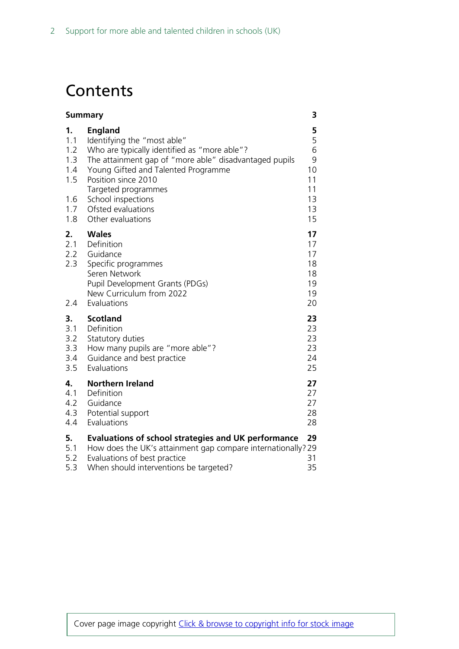# **Contents**

| 3<br><b>Summary</b>                                        |                                                                                                                                                                                                                                                                                                               |                                                      |  |  |  |
|------------------------------------------------------------|---------------------------------------------------------------------------------------------------------------------------------------------------------------------------------------------------------------------------------------------------------------------------------------------------------------|------------------------------------------------------|--|--|--|
| 1.<br>1.1<br>1.2<br>1.3<br>1.4<br>1.5<br>1.6<br>1.7<br>1.8 | <b>England</b><br>Identifying the "most able"<br>Who are typically identified as "more able"?<br>The attainment gap of "more able" disadvantaged pupils<br>Young Gifted and Talented Programme<br>Position since 2010<br>Targeted programmes<br>School inspections<br>Ofsted evaluations<br>Other evaluations | 5<br>5<br>6<br>9<br>10<br>11<br>11<br>13<br>13<br>15 |  |  |  |
| 2.<br>2.1<br>2.3<br>2.4                                    | <b>Wales</b><br>Definition<br>2.2 Guidance<br>Specific programmes<br>Seren Network<br>Pupil Development Grants (PDGs)<br>New Curriculum from 2022<br>Evaluations                                                                                                                                              | 17<br>17<br>17<br>18<br>18<br>19<br>19<br>20         |  |  |  |
| 3.<br>3.1<br>3.2<br>3.3<br>3.4<br>3.5                      | <b>Scotland</b><br>Definition<br>Statutory duties<br>How many pupils are "more able"?<br>Guidance and best practice<br>Evaluations                                                                                                                                                                            | 23<br>23<br>23<br>23<br>24<br>25                     |  |  |  |
| 4.<br>4.1<br>4.2<br>4.3<br>4.4                             | <b>Northern Ireland</b><br>Definition<br>Guidance<br>Potential support<br>Evaluations                                                                                                                                                                                                                         | 27<br>27<br>27<br>28<br>28                           |  |  |  |
| 5.<br>5.1<br>5.2<br>5.3                                    | <b>Evaluations of school strategies and UK performance</b><br>How does the UK's attainment gap compare internationally? 29<br>Evaluations of best practice<br>When should interventions be targeted?                                                                                                          | 29<br>31<br>35                                       |  |  |  |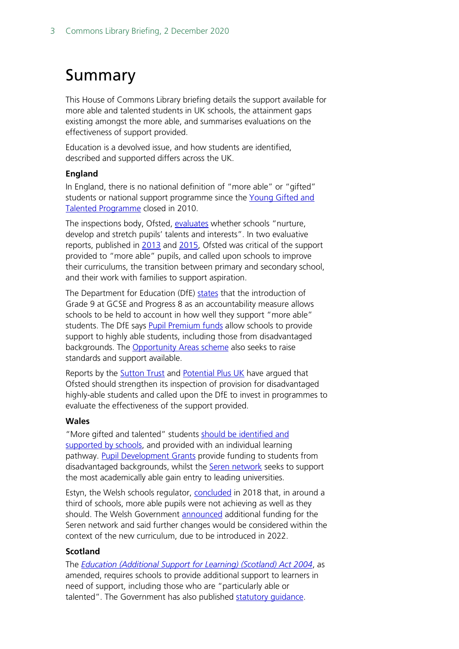# <span id="page-2-0"></span>Summary

This House of Commons Library briefing details the support available for more able and talented students in UK schools, the attainment gaps existing amongst the more able, and summarises evaluations on the effectiveness of support provided.

Education is a devolved issue, and how students are identified, described and supported differs across the UK.

### **England**

In England, there is no national definition of "more able" or "gifted" students or national support programme since the Young Gifted and [Talented Programme](https://webarchive.nationalarchives.gov.uk/20080530211734/http:/ygt.dcsf.gov.uk/HomePage.aspx?stakeholder=14) closed in 2010.

The inspections body, Ofsted, [evaluates](https://www.gov.uk/government/publications/school-inspection-handbook-eif) whether schools "nurture, develop and stretch pupils' talents and interests". In two evaluative reports, published in [2013](https://assets.publishing.service.gov.uk/government/uploads/system/uploads/attachment_data/file/405518/The_most_able_students.pdf) and [2015,](https://hopuk-my.sharepoint.com/personal/loftp_parliament_uk/Documents/The_most_able_students_an_update_on_progress_since_June_2013) Ofsted was critical of the support provided to "more able" pupils, and called upon schools to improve their curriculums, the transition between primary and secondary school, and their work with families to support aspiration.

The Department for Education (DfE) [states](https://questions-statements.parliament.uk/written-questions/detail/2015-03-16/HL5759) that the introduction of Grade 9 at GCSE and Progress 8 as an accountability measure allows schools to be held to account in how well they support "more able" students. The DfE says [Pupil Premium funds](https://www.gov.uk/government/publications/pupil-premium/pupil-premium) allow schools to provide support to highly able students, including those from disadvantaged backgrounds. The [Opportunity Areas scheme](https://www.gov.uk/government/publications/social-mobility-and-opportunity-areas) also seeks to raise standards and support available.

Reports by the **Sutton Trust** and [Potential Plus UK](https://www.potentialplusuk.org/wp-content/uploads/2020/03/Ofsted-Reporting-of-Provision-for-the-Most-Able-Pupils.pdf) have argued that Ofsted should strengthen its inspection of provision for disadvantaged highly-able students and called upon the DfE to invest in programmes to evaluate the effectiveness of the support provided.

#### **Wales**

"More gifted and talented" students should be identified and [supported by schools,](https://gov.wales/quality-standards-more-able-and-talented-learners-guidance) and provided with an individual learning pathway. [Pupil Development Grants](https://gov.wales/education-of-disadvantaged-children) provide funding to students from disadvantaged backgrounds, whilst the [Seren network](https://gov.wales/seren-network) seeks to support the most academically able gain entry to leading universities.

Estyn, the Welsh schools regulator, [concluded](https://www.estyn.gov.wales/system/files/2020-07/Supporting%2520MAT%2520pupils%2520En.pdf) in 2018 that, in around a third of schools, more able pupils were not achieving as well as they should. The Welsh Government [announced](https://gov.wales/sites/default/files/publications/2018-06/response-to-the-estyn-thematic-report-on-supporting-more-able-and-talented-pupils-how-best-to-challenge-and-nurture-more-able-and-talented-pupils-key-stages-2-to-4.pdf) additional funding for the Seren network and said further changes would be considered within the context of the new curriculum, due to be introduced in 2022.

### **Scotland**

The *[Education \(Additional Support for Learning\) \(Scotland\) Act 2004](https://www.legislation.gov.uk/asp/2009/7/contents)*, as amended, requires schools to provide additional support to learners in need of support, including those who are "particularly able or talented". The Government has also published [statutory guidance.](https://www.gov.scot/binaries/content/documents/govscot/publications/advice-and-guidance/2017/12/supporting-childrens-learning-statutory-guidance-education-additional-support-learning-scotland/documents/00529411-pdf/00529411-pdf/govscot%3Adocument/00529411.pdf)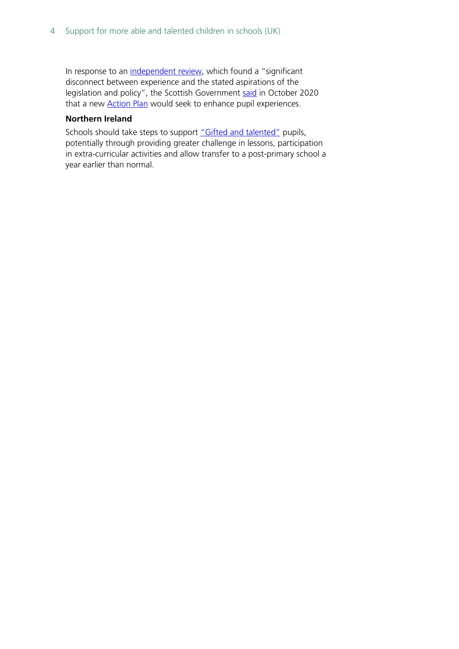In response to an [independent review,](https://www.gov.scot/groups/additional-support-for-learning-review/) which found a "significant disconnect between experience and the stated aspirations of the legislation and policy", the Scottish Government [said](https://www.gov.scot/news/improving-additional-support-for-learning/) in October 2020 that a new **[Action Plan](https://www.gov.scot/publications/additional-support-learning-action-plan/)** would seek to enhance pupil experiences.

#### **Northern Ireland**

Schools should take steps to support ["Gifted and talented"](https://www.nidirect.gov.uk/articles/supporting-gifted-and-talented-children) pupils, potentially through providing greater challenge in lessons, participation in extra-curricular activities and allow transfer to a post-primary school a year earlier than normal.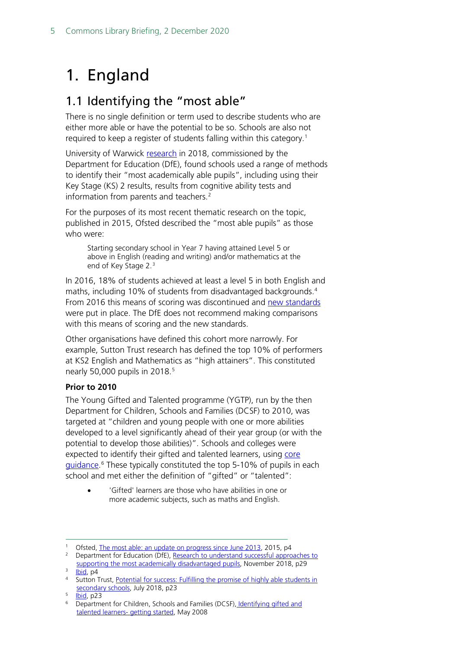# <span id="page-4-0"></span>1. England

# <span id="page-4-1"></span>1.1 Identifying the "most able"

There is no single definition or term used to describe students who are either more able or have the potential to be so. Schools are also not required to keep a register of students falling within this category.<sup>[1](#page-4-2)</sup>

University of Warwick [research](https://assets.publishing.service.gov.uk/government/uploads/system/uploads/attachment_data/file/915619/Research_to_understand_successful_approaches_to_supporting_the_most_academically_able_disadvantaged_pupils.pdf) in 2018, commissioned by the Department for Education (DfE), found schools used a range of methods to identify their "most academically able pupils", including using their Key Stage (KS) 2 results, results from cognitive ability tests and information from parents and teachers.<sup>[2](#page-4-3)</sup>

For the purposes of its most recent thematic research on the topic, published in 2015, Ofsted described the "most able pupils" as those who were:

Starting secondary school in Year 7 having attained Level 5 or above in English (reading and writing) and/or mathematics at the end of Key Stage 2.[3](#page-4-4)

In 2016, 18% of students achieved at least a level 5 in both English and maths, including 10% of students from disadvantaged backgrounds. [4](#page-4-5) From 2016 this means of scoring was discontinued and [new standards](https://www.gov.uk/government/statistics/national-curriculum-assessments-key-stage-2-2016-provisional) were put in place. The DfE does not recommend making comparisons with this means of scoring and the new standards.

Other organisations have defined this cohort more narrowly. For example, Sutton Trust research has defined the top 10% of performers at KS2 English and Mathematics as "high attainers". This constituted nearly [5](#page-4-6)0,000 pupils in 2018.<sup>5</sup>

### **Prior to 2010**

The Young Gifted and Talented programme (YGTP), run by the then Department for Children, Schools and Families (DCSF) to 2010, was targeted at "children and young people with one or more abilities developed to a level significantly ahead of their year group (or with the potential to develop those abilities)". Schools and colleges were expected to identify their gifted and talented learners, using [core](https://webarchive.nationalarchives.gov.uk/20080910130301/http:/ygt.dcsf.gov.uk/FileLinks/894_new_guidance.pdf)  [guidance.](https://webarchive.nationalarchives.gov.uk/20080910130301/http:/ygt.dcsf.gov.uk/FileLinks/894_new_guidance.pdf)<sup>[6](#page-4-7)</sup> These typically constituted the top 5-10% of pupils in each school and met either the definition of "gifted" or "talented":

• 'Gifted' learners are those who have abilities in one or more academic subjects, such as maths and English.

<span id="page-4-2"></span><sup>&</sup>lt;sup>1</sup> Ofsted[, The most able: an update on progress since June 2013,](https://assets.publishing.service.gov.uk/government/uploads/system/uploads/attachment_data/file/408909/The_most_able_students_an_update_on_progress_since_June_2013.pdf) 2015, p4

<span id="page-4-3"></span><sup>&</sup>lt;sup>2</sup> Department for Education (DfE), Research to understand successful approaches to [supporting the most academically disadvantaged pupils,](https://assets.publishing.service.gov.uk/government/uploads/system/uploads/attachment_data/file/915619/Research_to_understand_successful_approaches_to_supporting_the_most_academically_able_disadvantaged_pupils.pdf) November 2018, p29

[Ibid,](https://assets.publishing.service.gov.uk/government/uploads/system/uploads/attachment_data/file/408909/The_most_able_students_an_update_on_progress_since_June_2013.pdf) p4

<span id="page-4-5"></span><span id="page-4-4"></span><sup>4</sup> Sutton Trust, Potential for success: Fulfilling the promise of highly able students in [secondary schools,](https://www.suttontrust.com/wp-content/uploads/2019/12/PotentialForSuccess.pdf) July 2018, p23

<span id="page-4-7"></span><span id="page-4-6"></span> $\frac{1}{6}$   $\frac{1}{2}$  Department

<sup>6</sup> Department for Children, Schools and Families (DCSF), [Identifying gifted and](https://webarchive.nationalarchives.gov.uk/20080910130301/http:/ygt.dcsf.gov.uk/FileLinks/894_new_guidance.pdf)  [talented learners-](https://webarchive.nationalarchives.gov.uk/20080910130301/http:/ygt.dcsf.gov.uk/FileLinks/894_new_guidance.pdf) getting started, May 2008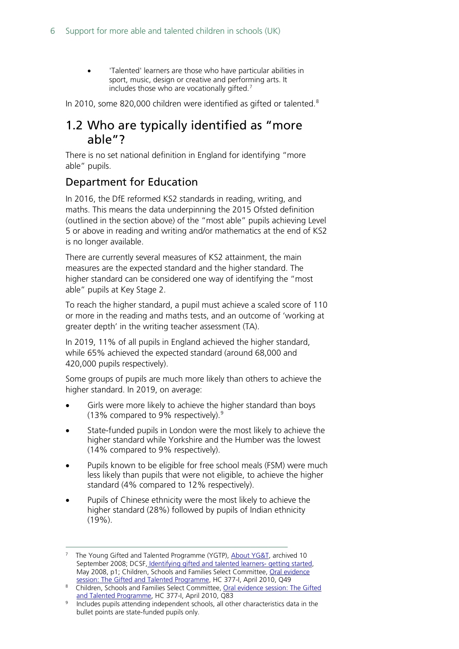• 'Talented' learners are those who have particular abilities in sport, music, design or creative and performing arts. It includes those who are vocationally gifted.<sup>[7](#page-5-1)</sup>

In 2010, some [8](#page-5-2)20,000 children were identified as gifted or talented.<sup>8</sup>

### <span id="page-5-0"></span>1.2 Who are typically identified as "more able"?

There is no set national definition in England for identifying "more able" pupils.

### Department for Education

In 2016, the DfE reformed KS2 standards in reading, writing, and maths. This means the data underpinning the 2015 Ofsted definition (outlined in the section above) of the "most able" pupils achieving Level 5 or above in reading and writing and/or mathematics at the end of KS2 is no longer available.

There are currently several measures of KS2 attainment, the main measures are the expected standard and the higher standard. The higher standard can be considered one way of identifying the "most able" pupils at Key Stage 2.

To reach the higher standard, a pupil must achieve a scaled score of 110 or more in the reading and maths tests, and an outcome of 'working at greater depth' in the writing teacher assessment (TA).

In 2019, 11% of all pupils in England achieved the higher standard, while 65% achieved the expected standard (around 68,000 and 420,000 pupils respectively).

Some groups of pupils are much more likely than others to achieve the higher standard. In 2019, on average:

- Girls were more likely to achieve the higher standard than boys (13% compared to 9% respectively). [9](#page-5-3)
- State-funded pupils in London were the most likely to achieve the higher standard while Yorkshire and the Humber was the lowest (14% compared to 9% respectively).
- Pupils known to be eligible for free school meals (FSM) were much less likely than pupils that were not eligible, to achieve the higher standard (4% compared to 12% respectively).
- Pupils of Chinese ethnicity were the most likely to achieve the higher standard (28%) followed by pupils of Indian ethnicity (19%).

<span id="page-5-1"></span>The Young Gifted and Talented Programme (YGTP)[, About YG&T,](https://webarchive.nationalarchives.gov.uk/20080910121136/http:/ygt.dcsf.gov.uk/DynamicPage.aspx?pageId=8) archived 10 September 2008; DCSF, [Identifying gifted and talented learners-](https://webarchive.nationalarchives.gov.uk/20080910130301/http:/ygt.dcsf.gov.uk/FileLinks/894_new_guidance.pdf) getting started, May 2008, p1; Children, Schools and Families Select Committee, Oral evidence [session: The Gifted and Talented Programme,](https://publications.parliament.uk/pa/cm200910/cmselect/cmchilsch/337/337i.pdf) HC 377-I, April 2010, Q49

<span id="page-5-2"></span><sup>8</sup> Children, Schools and Families Select Committee, Oral evidence session: The Gifted [and Talented Programme,](https://publications.parliament.uk/pa/cm200910/cmselect/cmchilsch/337/337i.pdf) HC 377-I, April 2010, Q83

<span id="page-5-3"></span><sup>9</sup> Includes pupils attending independent schools, all other characteristics data in the bullet points are state-funded pupils only.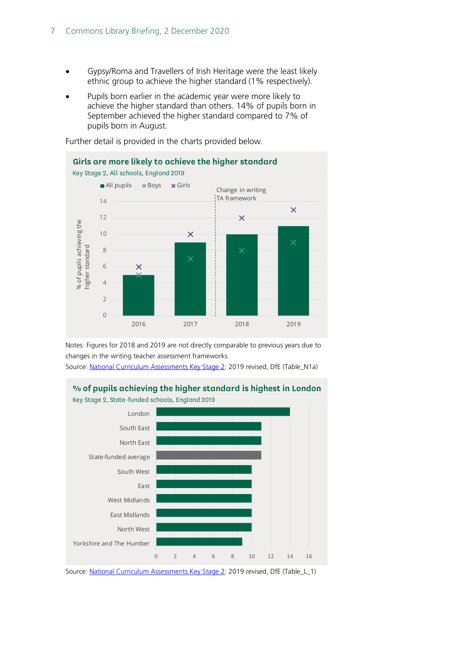- Gypsy/Roma and Travellers of Irish Heritage were the least likely ethnic group to achieve the higher standard (1% respectively).
- Pupils born earlier in the academic year were more likely to achieve the higher standard than others. 14% of pupils born in September achieved the higher standard compared to 7% of pupils born in August.



Further detail is provided in the charts provided below.

Notes: Figures for 2018 and 2019 are not directly comparable to previous years due to changes in the writing teacher assessment frameworks

Source: [National Curriculum Assessments Key Stage 2:](https://www.gov.uk/government/statistics/national-curriculum-assessments-key-stage-2-2019-revised) 2019 revised, DfE (Table\_N1a)



**% of pupils achieving the higher standard is highest in London**

Source: [National Curriculum Assessments Key Stage 2:](https://www.gov.uk/government/statistics/national-curriculum-assessments-key-stage-2-2019-revised) 2019 revised, DfE (Table\_L\_1)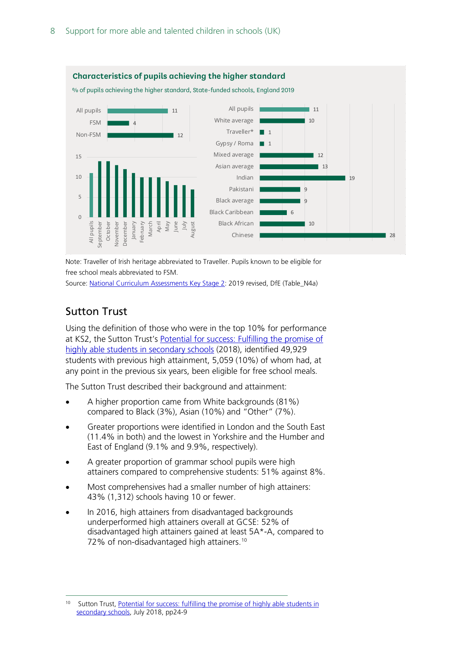

Note: Traveller of Irish heritage abbreviated to Traveller. Pupils known to be eligible for free school meals abbreviated to FSM.

Source: [National Curriculum Assessments Key Stage 2:](https://www.gov.uk/government/statistics/national-curriculum-assessments-key-stage-2-2019-revised) 2019 revised, DfE (Table\_N4a)

### Sutton Trust

Using the definition of those who were in the top 10% for performance at KS2, the Sutton Trust's [Potential for success: Fulfilling the promise of](https://www.suttontrust.com/wp-content/uploads/2019/12/PotentialForSuccess.pdf)  [highly able students in secondary schools](https://www.suttontrust.com/wp-content/uploads/2019/12/PotentialForSuccess.pdf) (2018), identified 49,929 students with previous high attainment, 5,059 (10%) of whom had, at any point in the previous six years, been eligible for free school meals.

The Sutton Trust described their background and attainment:

- A higher proportion came from White backgrounds (81%) compared to Black (3%), Asian (10%) and "Other" (7%).
- Greater proportions were identified in London and the South East (11.4% in both) and the lowest in Yorkshire and the Humber and East of England (9.1% and 9.9%, respectively).
- A greater proportion of grammar school pupils were high attainers compared to comprehensive students: 51% against 8%.
- Most comprehensives had a smaller number of high attainers: 43% (1,312) schools having 10 or fewer.
- In 2016, high attainers from disadvantaged backgrounds underperformed high attainers overall at GCSE: 52% of disadvantaged high attainers gained at least 5A\*-A, compared to 72% of non-disadvantaged high attainers.<sup>[10](#page-7-0)</sup>

<span id="page-7-0"></span><sup>&</sup>lt;sup>10</sup> Sutton Trust, Potential for success: fulfilling the promise of highly able students in [secondary schools,](https://www.suttontrust.com/wp-content/uploads/2019/12/PotentialForSuccess.pdf) July 2018, pp24-9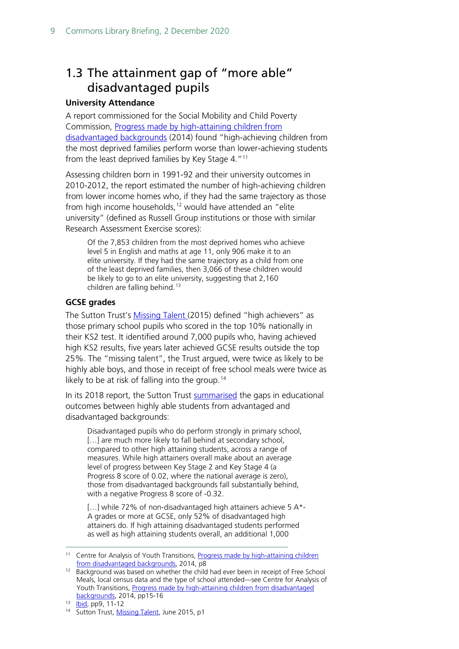# <span id="page-8-0"></span>1.3 The attainment gap of "more able" disadvantaged pupils

### **University Attendance**

A report commissioned for the Social Mobility and Child Poverty Commission, [Progress made by high-attaining children from](https://dera.ioe.ac.uk/20433/1/High_attainers_progress_report_final.pdf)  [disadvantaged backgrounds](https://dera.ioe.ac.uk/20433/1/High_attainers_progress_report_final.pdf) (2014) found "high-achieving children from the most deprived families perform worse than lower-achieving students from the least deprived families by Key Stage 4."<sup>[11](#page-8-1)</sup>

Assessing children born in 1991-92 and their university outcomes in 2010-2012, the report estimated the number of high-achieving children from lower income homes who, if they had the same trajectory as those from high income households,<sup>[12](#page-8-2)</sup> would have attended an "elite university" (defined as Russell Group institutions or those with similar Research Assessment Exercise scores):

Of the 7,853 children from the most deprived homes who achieve level 5 in English and maths at age 11, only 906 make it to an elite university. If they had the same trajectory as a child from one of the least deprived families, then 3,066 of these children would be likely to go to an elite university, suggesting that 2,160 children are falling behind.<sup>[13](#page-8-3)</sup>

### **GCSE grades**

The Sutton Trust's [Missing Talent \(](http://www.educationengland.org.uk/documents/pdfs/2015-sutton-missing-talent.pdf)2015) defined "high achievers" as those primary school pupils who scored in the top 10% nationally in their KS2 test. It identified around 7,000 pupils who, having achieved high KS2 results, five years later achieved GCSE results outside the top 25%. The "missing talent", the Trust argued, were twice as likely to be highly able boys, and those in receipt of free school meals were twice as likely to be at risk of falling into the group. [14](#page-8-4)

In its 2018 report, the Sutton Trust [summarised](https://www.suttontrust.com/wp-content/uploads/2019/12/PotentialForSuccess.pdf) the gaps in educational outcomes between highly able students from advantaged and disadvantaged backgrounds:

Disadvantaged pupils who do perform strongly in primary school, [...] are much more likely to fall behind at secondary school, compared to other high attaining students, across a range of measures. While high attainers overall make about an average level of progress between Key Stage 2 and Key Stage 4 (a Progress 8 score of 0.02, where the national average is zero), those from disadvantaged backgrounds fall substantially behind, with a negative Progress 8 score of -0.32.

[...] while 72% of non-disadvantaged high attainers achieve 5 A\*-A grades or more at GCSE, only 52% of disadvantaged high attainers do. If high attaining disadvantaged students performed as well as high attaining students overall, an additional 1,000

<span id="page-8-1"></span><sup>&</sup>lt;sup>11</sup> Centre for Analysis of Youth Transitions, Progress made by high-attaining children [from disadvantaged backgrounds,](https://dera.ioe.ac.uk/20433/1/High_attainers_progress_report_final.pdf) 2014, p8

<span id="page-8-2"></span><sup>&</sup>lt;sup>12</sup> Background was based on whether the child had ever been in receipt of Free School Meals, local census data and the type of school attended—see Centre for Analysis of Youth Transitions, Progress made by high-attaining children from disadvantaged [backgrounds,](https://dera.ioe.ac.uk/20433/1/High_attainers_progress_report_final.pdf) 2014, pp15-16

<span id="page-8-3"></span><sup>13</sup> **Ibid**, pp9, 11-12

<span id="page-8-4"></span><sup>&</sup>lt;sup>14</sup> Sutton Trust[, Missing Talent,](http://www.educationengland.org.uk/documents/pdfs/2015-sutton-missing-talent.pdf) June 2015, p1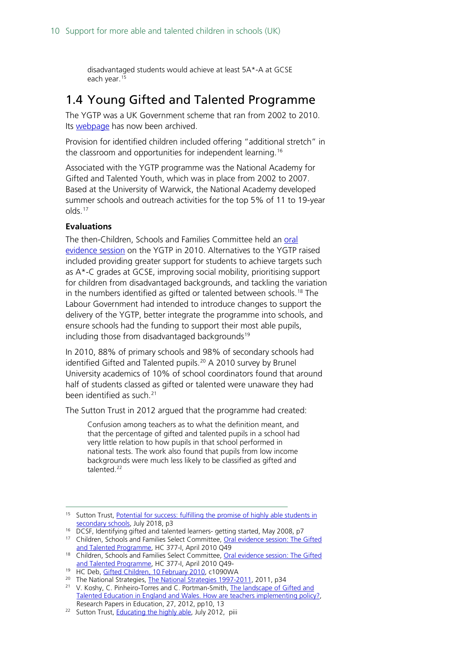disadvantaged students would achieve at least 5A\*-A at GCSE each year.[15](#page-9-1)

### <span id="page-9-0"></span>1.4 Young Gifted and Talented Programme

The YGTP was a UK Government scheme that ran from 2002 to 2010. Its [webpage](https://webarchive.nationalarchives.gov.uk/20080530211734/http:/ygt.dcsf.gov.uk/HomePage.aspx?stakeholder=14) has now been archived.

Provision for identified children included offering "additional stretch" in the classroom and opportunities for independent learning.<sup>[16](#page-9-2)</sup>

Associated with the YGTP programme was the National Academy for Gifted and Talented Youth, which was in place from 2002 to 2007. Based at the University of Warwick, the National Academy developed summer schools and outreach activities for the top 5% of 11 to 19-year olds.[17](#page-9-3)

#### **Evaluations**

The then-Children, Schools and Families Committee held an [oral](https://publications.parliament.uk/pa/cm200910/cmselect/cmchilsch/337/337i.pdf)  [evidence session](https://publications.parliament.uk/pa/cm200910/cmselect/cmchilsch/337/337i.pdf) on the YGTP in 2010. Alternatives to the YGTP raised included providing greater support for students to achieve targets such as A\*-C grades at GCSE, improving social mobility, prioritising support for children from disadvantaged backgrounds, and tackling the variation in the numbers identified as gifted or talented between schools.<sup>[18](#page-9-4)</sup> The Labour Government had intended to introduce changes to support the delivery of the YGTP, better integrate the programme into schools, and ensure schools had the funding to support their most able pupils, including those from disadvantaged backgrounds<sup>[19](#page-9-5)</sup>

In 2010, 88% of primary schools and 98% of secondary schools had identified Gifted and Talented pupils.<sup>[20](#page-9-6)</sup> A 2010 survey by Brunel University academics of 10% of school coordinators found that around half of students classed as gifted or talented were unaware they had been identified as such. [21](#page-9-7)

The Sutton Trust in 2012 argued that the programme had created:

Confusion among teachers as to what the definition meant, and that the percentage of gifted and talented pupils in a school had very little relation to how pupils in that school performed in national tests. The work also found that pupils from low income backgrounds were much less likely to be classified as gifted and talented.[22](#page-9-8)

<sup>16</sup> DCSF, Identifying gifted and talented learners- getting started, May 2008, p7

<span id="page-9-6"></span><span id="page-9-5"></span><sup>20</sup> The National Strategies, [The National Strategies 1997-2011,](https://assets.publishing.service.gov.uk/government/uploads/system/uploads/attachment_data/file/175408/DFE-00032-2011.pdf) 2011, p34

<span id="page-9-1"></span><sup>&</sup>lt;sup>15</sup> Sutton Trust, Potential for success: fulfilling the promise of highly able students in [secondary schools,](https://www.suttontrust.com/wp-content/uploads/2019/12/PotentialForSuccess.pdf) July 2018, p3

<span id="page-9-3"></span><span id="page-9-2"></span><sup>&</sup>lt;sup>17</sup> Children, Schools and Families Select Committee, Oral evidence session: The Gifted [and Talented Programme,](https://publications.parliament.uk/pa/cm200910/cmselect/cmchilsch/337/337i.pdf) HC 377-I, April 2010 Q49

<span id="page-9-4"></span><sup>&</sup>lt;sup>18</sup> Children, Schools and Families Select Committee, Oral evidence session: The Gifted [and Talented Programme,](https://publications.parliament.uk/pa/cm200910/cmselect/cmchilsch/337/337i.pdf) HC 377-I, April 2010 Q49-

<sup>&</sup>lt;sup>19</sup> HC Deb[, Gifted Children, 10 February 2010,](https://hansard.parliament.uk/commons/2010-02-10/debates/1002111000056/GiftedChildren) c1090WA

<span id="page-9-7"></span><sup>&</sup>lt;sup>21</sup> V. Koshy, C. Pinheiro-Torres and C. Portman-Smith, The landscape of Gifted and [Talented Education in England and Wales. How are teachers implementing policy?,](https://bura.brunel.ac.uk/bitstream/2438/8678/2/Fulltext.pdf) Research Papers in Education, 27, 2012, pp10, 13

<span id="page-9-8"></span><sup>&</sup>lt;sup>22</sup> Sutton Trust, *Educating the highly able*, July 2012, piii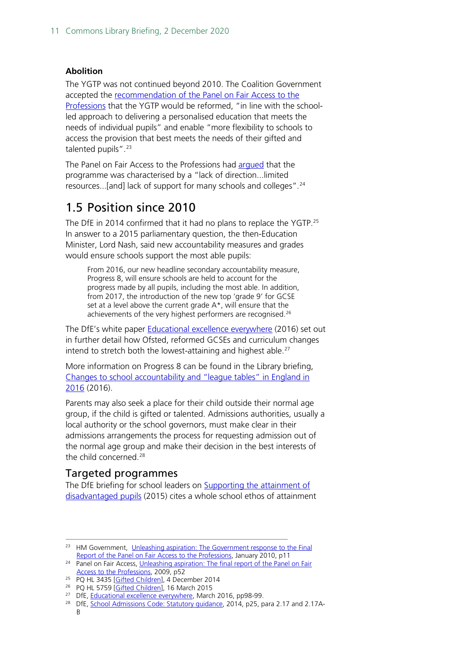#### **Abolition**

The YGTP was not continued beyond 2010. The Coalition Government accepted the [recommendation of the Panel on Fair Access to the](https://webarchive.nationalarchives.gov.uk/+/http:/www.cabinetoffice.gov.uk/media/227102/fair-access.pdf)  [Professions](https://webarchive.nationalarchives.gov.uk/+/http:/www.cabinetoffice.gov.uk/media/227102/fair-access.pdf) that the YGTP would be reformed, "in line with the schoolled approach to delivering a personalised education that meets the needs of individual pupils" and enable "more flexibility to schools to access the provision that best meets the needs of their gifted and talented pupils".<sup>[23](#page-10-2)</sup>

The Panel on Fair Access to the Professions had [argued](https://webarchive.nationalarchives.gov.uk/+/http:/www.cabinetoffice.gov.uk/media/227102/fair-access.pdf) that the programme was characterised by a "lack of direction...limited resources...[and] lack of support for many schools and colleges".[24](#page-10-3)

### <span id="page-10-0"></span>1.5 Position since 2010

The DfE in 2014 confirmed that it had no plans to replace the YGTP.[25](#page-10-4) In answer to a 2015 parliamentary question, the then-Education Minister, Lord Nash, said new accountability measures and grades would ensure schools support the most able pupils:

From 2016, our new headline secondary accountability measure, Progress 8, will ensure schools are held to account for the progress made by all pupils, including the most able. In addition, from 2017, the introduction of the new top 'grade 9' for GCSE set at a level above the current grade A\*, will ensure that the achievements of the very highest performers are recognised.<sup>[26](#page-10-5)</sup>

The DfE's white paper **[Educational excellence everywhere](https://assets.publishing.service.gov.uk/government/uploads/system/uploads/attachment_data/file/508447/Educational_Excellence_Everywhere.pdf)** (2016) set out in further detail how Ofsted, reformed GCSEs and curriculum changes intend to stretch both the lowest-attaining and highest able.<sup>[27](#page-10-6)</sup>

More information on Progress 8 can be found in the Library briefing, [Changes to school accountability and "league tables" in England in](https://commonslibrary.parliament.uk/research-briefings/cbp-7846/)  [2016](https://commonslibrary.parliament.uk/research-briefings/cbp-7846/) (2016).

Parents may also seek a place for their child outside their normal age group, if the child is gifted or talented. Admissions authorities, usually a local authority or the school governors, must make clear in their admissions arrangements the process for requesting admission out of the normal age group and make their decision in the best interests of the child concerned.[28](#page-10-7)

### <span id="page-10-1"></span>Targeted programmes

The DfE briefing for school leaders on [Supporting the attainment of](https://assets.publishing.service.gov.uk/government/uploads/system/uploads/attachment_data/file/473976/DFE-RS411_Supporting_the_attainment_of_disadvantaged_pupils_-_briefing_for_school_leaders.pdf)  [disadvantaged pupils](https://assets.publishing.service.gov.uk/government/uploads/system/uploads/attachment_data/file/473976/DFE-RS411_Supporting_the_attainment_of_disadvantaged_pupils_-_briefing_for_school_leaders.pdf) (2015) cites a whole school ethos of attainment

<span id="page-10-2"></span><sup>&</sup>lt;sup>23</sup> HM Government, Unleashing aspiration: The Government response to the Final [Report of the Panel on Fair Access to the Professions,](https://assets.publishing.service.gov.uk/government/uploads/system/uploads/attachment_data/file/238476/7755.pdf) January 2010, p11

<span id="page-10-3"></span><sup>&</sup>lt;sup>24</sup> Panel on Fair Access, Unleashing aspiration: The final report of the Panel on Fair [Access to the Professions,](https://webarchive.nationalarchives.gov.uk/+/http:/www.cabinetoffice.gov.uk/media/227102/fair-access.pdf) 2009, p52

<span id="page-10-4"></span><sup>&</sup>lt;sup>25</sup> PQ HL 3435 [\[Gifted Children\]](https://questions-statements.parliament.uk/written-questions/detail/2014-12-04/HL3435), 4 December 2014

<span id="page-10-5"></span><sup>&</sup>lt;sup>26</sup> PQ HL 5759 [\[Gifted Children\]](https://questions-statements.parliament.uk/written-questions/detail/2015-03-16/HL5759), 16 March 2015

<span id="page-10-6"></span><sup>&</sup>lt;sup>27</sup> DfE, [Educational excellence everywhere,](https://assets.publishing.service.gov.uk/government/uploads/system/uploads/attachment_data/file/508447/Educational_Excellence_Everywhere.pdf) March 2016, pp98-99.

<span id="page-10-7"></span><sup>&</sup>lt;sup>28</sup> DfE, [School Admissions Code: Statutory guidance,](https://assets.publishing.service.gov.uk/government/uploads/system/uploads/attachment_data/file/389388/School_Admissions_Code_2014_-_19_Dec.pdf) 2014, p25, para 2.17 and 2.17A-B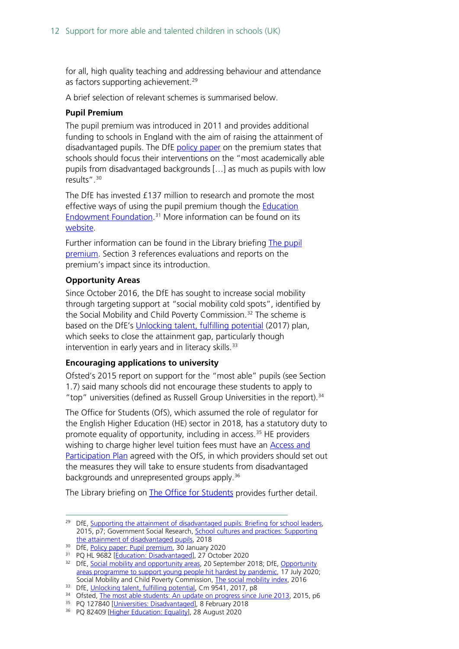for all, high quality teaching and addressing behaviour and attendance as factors supporting achievement.<sup>[29](#page-11-0)</sup>

A brief selection of relevant schemes is summarised below.

### **Pupil Premium**

The pupil premium was introduced in 2011 and provides additional funding to schools in England with the aim of raising the attainment of disadvantaged pupils. The DfE [policy paper](https://www.gov.uk/government/publications/pupil-premium/pupil-premium) on the premium states that schools should focus their interventions on the "most academically able pupils from disadvantaged backgrounds […] as much as pupils with low results".[30](#page-11-1)

The DfE has invested £137 million to research and promote the most effective ways of using the pupil premium though the **Education** [Endowment Foundation.](https://educationendowmentfoundation.org.uk/) [31](#page-11-2) More information can be found on its [website.](https://educationendowmentfoundation.org.uk/)

Further information can be found in the Library briefing [The pupil](https://commonslibrary.parliament.uk/research-briefings/sn06700/)  [premium.](https://commonslibrary.parliament.uk/research-briefings/sn06700/) Section 3 references evaluations and reports on the premium's impact since its introduction.

#### **Opportunity Areas**

Since October 2016, the DfE has sought to increase social mobility through targeting support at "social mobility cold spots", identified by the Social Mobility and Child Poverty Commission. [32](#page-11-3) The scheme is based on the DfE's [Unlocking talent, fulfilling potential](https://assets.publishing.service.gov.uk/government/uploads/system/uploads/attachment_data/file/667690/Social_Mobility_Action_Plan_-_for_printing.pdf) (2017) plan, which seeks to close the attainment gap, particularly though intervention in early years and in literacy skills.<sup>[33](#page-11-4)</sup>

#### **Encouraging applications to university**

Ofsted's 2015 report on support for the "most able" pupils (see Section 1.7) said many schools did not encourage these students to apply to "top" universities (defined as Russell Group Universities in the report).<sup>[34](#page-11-5)</sup>

The Office for Students (OfS), which assumed the role of regulator for the English Higher Education (HE) sector in 2018, has a statutory duty to promote equality of opportunity, including in access.<sup>[35](#page-11-6)</sup> HE providers wishing to charge higher level tuition fees must have an [Access and](https://www.officeforstudents.org.uk/advice-and-guidance/promoting-equal-opportunities/access-and-participation-plans/)  [Participation Plan](https://www.officeforstudents.org.uk/advice-and-guidance/promoting-equal-opportunities/access-and-participation-plans/) agreed with the OfS, in which providers should set out the measures they will take to ensure students from disadvantaged backgrounds and unrepresented groups apply. [36](#page-11-7)

The Library briefing on [The Office for Students](https://commonslibrary.parliament.uk/research-briefings/cbp-8294/) provides further detail.

<span id="page-11-0"></span><sup>&</sup>lt;sup>29</sup> DfE, [Supporting the attainment of disadvantaged pupils: Briefing for school leaders,](https://assets.publishing.service.gov.uk/government/uploads/system/uploads/attachment_data/file/473976/DFE-RS411_Supporting_the_attainment_of_disadvantaged_pupils_-_briefing_for_school_leaders.pdf) 2015, p7; Government Social Research, School cultures [and practices: Supporting](https://assets.publishing.service.gov.uk/government/uploads/system/uploads/attachment_data/file/730628/London_Effect_Qual_Research_-_Research_Report_FINAL_v2.pdf)  [the attainment of disadvantaged pupils,](https://assets.publishing.service.gov.uk/government/uploads/system/uploads/attachment_data/file/730628/London_Effect_Qual_Research_-_Research_Report_FINAL_v2.pdf) 2018

<span id="page-11-1"></span><sup>&</sup>lt;sup>30</sup> DfE, [Policy paper: Pupil premium,](https://www.gov.uk/government/publications/pupil-premium/pupil-premium) 30 January 2020

<sup>&</sup>lt;sup>31</sup> PQ HL 9682 [\[Education: Disadvantaged\]](https://questions-statements.parliament.uk/written-questions/detail/2020-10-27/HL9682), 27 October 2020

<span id="page-11-3"></span><span id="page-11-2"></span><sup>&</sup>lt;sup>32</sup> DfE, [Social mobility and opportunity areas,](https://www.gov.uk/government/publications/social-mobility-and-opportunity-areas) 20 September 2018; DfE, Opportunity [areas programme to support young people hit hardest by pandemic,](https://www.gov.uk/government/news/opportunity-areas-programme-to-support-young-people-hit-hardest-by-pandemic) 17 July 2020; Social Mobility and Child Poverty Commission, [The social mobility index,](https://www.gov.uk/government/publications/social-mobility-index) 2016

<span id="page-11-4"></span><sup>33</sup> DfE, [Unlocking talent, fulfilling potential,](https://assets.publishing.service.gov.uk/government/uploads/system/uploads/attachment_data/file/667690/Social_Mobility_Action_Plan_-_for_printing.pdf) Cm 9541, 2017, p8

<span id="page-11-5"></span><sup>&</sup>lt;sup>34</sup> Ofsted, [The most able students: An update on progress since June 2013,](https://assets.publishing.service.gov.uk/government/uploads/system/uploads/attachment_data/file/408909/The_most_able_students_an_update_on_progress_since_June_2013.pdf) 2015, p6<br><sup>35</sup> PQ 127840 [\[Universities: Disadvantaged\]](https://questions-statements.parliament.uk/written-questions/detail/2018-02-08/127840), 8 February 2018

<span id="page-11-7"></span><span id="page-11-6"></span><sup>&</sup>lt;sup>36</sup> PQ 82409 [\[Higher Education: Equality\]](https://questions-statements.parliament.uk/written-questions/detail/2020-08-28/82409), 28 August 2020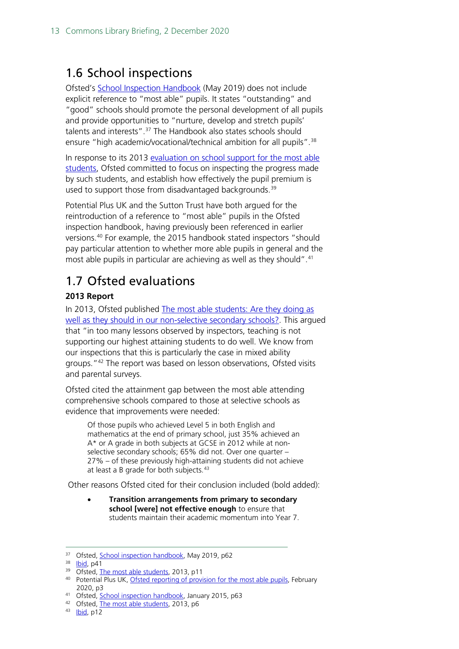## <span id="page-12-0"></span>1.6 School inspections

Ofsted's [School Inspection Handbook](https://www.gov.uk/government/publications/school-inspection-handbook-eif) (May 2019) does not include explicit reference to "most able" pupils. It states "outstanding" and "good" schools should promote the personal development of all pupils and provide opportunities to "nurture, develop and stretch pupils' talents and interests".<sup>[37](#page-12-2)</sup> The Handbook also states schools should ensure "high academic/vocational/technical ambition for all pupils".<sup>[38](#page-12-3)</sup>

In response to its 2013 [evaluation on school support for the most](https://assets.publishing.service.gov.uk/government/uploads/system/uploads/attachment_data/file/405518/The_most_able_students.pdf) able [students,](https://assets.publishing.service.gov.uk/government/uploads/system/uploads/attachment_data/file/405518/The_most_able_students.pdf) Ofsted committed to focus on inspecting the progress made by such students, and establish how effectively the pupil premium is used to support those from disadvantaged backgrounds.<sup>39</sup>

Potential Plus UK and the Sutton Trust have both argued for the reintroduction of a reference to "most able" pupils in the Ofsted inspection handbook, having previously been referenced in earlier versions. [40](#page-12-5) For example, the 2015 handbook stated inspectors "should pay particular attention to whether more able pupils in general and the most able pupils in particular are achieving as well as they should".<sup>[41](#page-12-6)</sup>

# <span id="page-12-1"></span>1.7 Ofsted evaluations

### **2013 Report**

In 2013, Ofsted published [The most able students: Are they doing as](https://assets.publishing.service.gov.uk/government/uploads/system/uploads/attachment_data/file/405518/The_most_able_students.pdf)  [well as they should in our non-selective secondary schools?.](https://assets.publishing.service.gov.uk/government/uploads/system/uploads/attachment_data/file/405518/The_most_able_students.pdf) This argued that "in too many lessons observed by inspectors, teaching is not supporting our highest attaining students to do well. We know from our inspections that this is particularly the case in mixed ability groups."<sup>[42](#page-12-7)</sup> The report was based on lesson observations, Ofsted visits and parental surveys.

Ofsted cited the attainment gap between the most able attending comprehensive schools compared to those at selective schools as evidence that improvements were needed:

Of those pupils who achieved Level 5 in both English and mathematics at the end of primary school, just 35% achieved an A\* or A grade in both subjects at GCSE in 2012 while at nonselective secondary schools; 65% did not. Over one quarter – 27% – of these previously high-attaining students did not achieve at least a B grade for both subjects.<sup>[43](#page-12-8)</sup>

Other reasons Ofsted cited for their conclusion included (bold added):

• **Transition arrangements from primary to secondary school [were] not effective enough** to ensure that students maintain their academic momentum into Year 7.

<span id="page-12-2"></span><sup>37</sup> Ofsted, [School inspection handbook,](https://assets.publishing.service.gov.uk/government/uploads/system/uploads/attachment_data/file/843108/School_inspection_handbook_-_section_5.pdf) May 2019, p62

<span id="page-12-3"></span><sup>38</sup> **Ibid**, p41

<sup>39</sup> Ofsted, [The most able students,](https://assets.publishing.service.gov.uk/government/uploads/system/uploads/attachment_data/file/405518/The_most_able_students.pdf) 2013, p11

<span id="page-12-5"></span><span id="page-12-4"></span><sup>40</sup> Potential Plus UK[, Ofsted reporting of provision for the most able pupils,](https://www.potentialplusuk.org/wp-content/uploads/2020/03/Ofsted-Reporting-of-Provision-for-the-Most-Able-Pupils.pdf) February 2020, p3

<span id="page-12-6"></span><sup>41</sup> Ofsted, [School inspection handbook,](https://assets.publishing.service.gov.uk/government/uploads/system/uploads/attachment_data/file/390141/School_inspection_handbook.pdf) January 2015, p63

<span id="page-12-7"></span><sup>42</sup> Ofsted, [The most able students,](https://assets.publishing.service.gov.uk/government/uploads/system/uploads/attachment_data/file/405518/The_most_able_students.pdf) 2013, p6

<span id="page-12-8"></span><sup>43</sup> [Ibid,](https://assets.publishing.service.gov.uk/government/uploads/system/uploads/attachment_data/file/405518/The_most_able_students.pdf) p12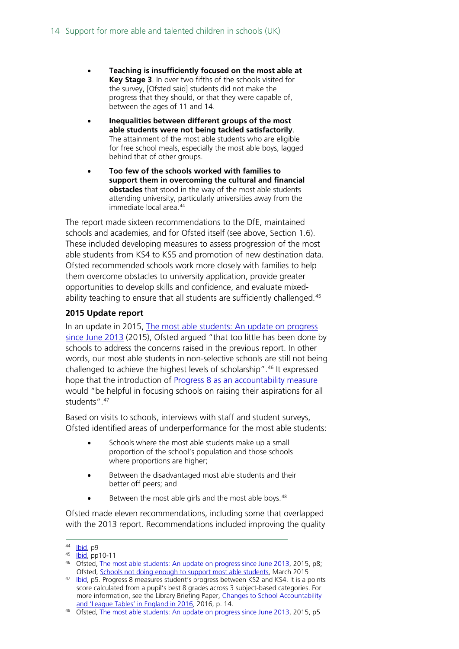- **Teaching is insufficiently focused on the most able at Key Stage 3**. In over two fifths of the schools visited for the survey, [Ofsted said] students did not make the progress that they should, or that they were capable of, between the ages of 11 and 14.
- **Inequalities between different groups of the most able students were not being tackled satisfactorily**. The attainment of the most able students who are eligible for free school meals, especially the most able boys, lagged behind that of other groups.
- **Too few of the schools worked with families to support them in overcoming the cultural and financial obstacles** that stood in the way of the most able students attending university, particularly universities away from the immediate local area. [44](#page-13-0)

The report made sixteen recommendations to the DfE, maintained schools and academies, and for Ofsted itself (see above, Section 1.6). These included developing measures to assess progression of the most able students from KS4 to KS5 and promotion of new destination data. Ofsted recommended schools work more closely with families to help them overcome obstacles to university application, provide greater opportunities to develop skills and confidence, and evaluate mixed-ability teaching to ensure that all students are sufficiently challenged.<sup>[45](#page-13-1)</sup>

### **2015 Update report**

In an update in 2015, The most able students: An update on progress since June 2013 (2015), Ofsted argued "that too little has been done by schools to address the concerns raised in the previous report. In other words, our most able students in non-selective schools are still not being challenged to achieve the highest levels of scholarship".<sup>[46](#page-13-2)</sup> It expressed hope that the introduction of [Progress 8 as an accountability measure](https://www.gov.uk/government/publications/progress-8-school-performance-measure) would "be helpful in focusing schools on raising their aspirations for all students".<sup>[47](#page-13-3)</sup>

Based on visits to schools, interviews with staff and student surveys, Ofsted identified areas of underperformance for the most able students:

- Schools where the most able students make up a small proportion of the school's population and those schools where proportions are higher;
- Between the disadvantaged most able students and their better off peers; and
- Between the most able girls and the most able boys.<sup>[48](#page-13-4)</sup>

Ofsted made eleven recommendations, including some that overlapped with the 2013 report. Recommendations included improving the quality

<span id="page-13-0"></span><sup>44</sup> **Ibid**, p9

<span id="page-13-1"></span><sup>45</sup> [Ibid,](https://assets.publishing.service.gov.uk/government/uploads/system/uploads/attachment_data/file/405518/The_most_able_students.pdf) pp10-11

<span id="page-13-2"></span><sup>&</sup>lt;sup>46</sup> Ofsted, [The most able students: An update on progress since June 2013,](https://assets.publishing.service.gov.uk/government/uploads/system/uploads/attachment_data/file/408909/The_most_able_students_an_update_on_progress_since_June_2013.pdf) 2015, p8; Ofsted, [Schools not doing enough to](https://www.gov.uk/government/news/schools-not-doing-enough-to-support-most-able-students) support most able students, March 2015

<span id="page-13-3"></span><sup>47</sup> [Ibid,](https://assets.publishing.service.gov.uk/government/uploads/system/uploads/attachment_data/file/408909/The_most_able_students_an_update_on_progress_since_June_2013.pdf) p5. Progress 8 measures student's progress between KS2 and KS4. It is a points score calculated from a pupil's best 8 grades across 3 subject-based categories. For more information, see the Library Briefing Paper, [Changes to School Accountability](https://commonslibrary.parliament.uk/research-briefings/cbp-7846/)  [and 'League Tables' in England in 2016,](https://commonslibrary.parliament.uk/research-briefings/cbp-7846/) 2016, p. 14.<br><sup>48</sup> Ofsted, [The most able students: An update on progress since June 2013,](https://assets.publishing.service.gov.uk/government/uploads/system/uploads/attachment_data/file/408909/The_most_able_students_an_update_on_progress_since_June_2013.pdf) 2015, p5

<span id="page-13-4"></span>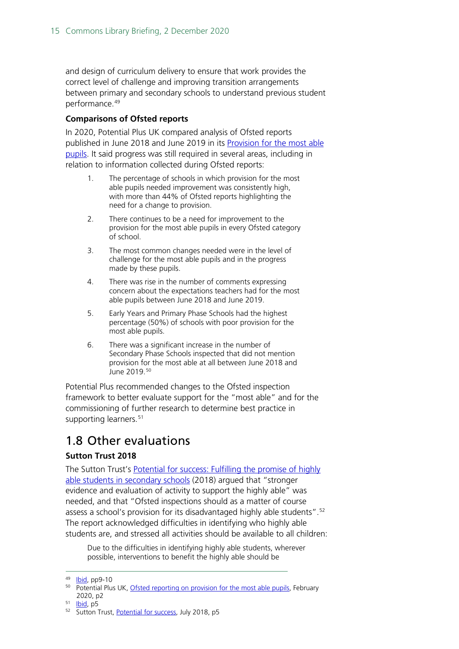and design of curriculum delivery to ensure that work provides the correct level of challenge and improving transition arrangements between primary and secondary schools to understand previous student performance. [49](#page-14-1)

### **Comparisons of Ofsted reports**

In 2020, Potential Plus UK compared analysis of Ofsted reports published in June 2018 and June 2019 in its [Provision for the most able](https://www.potentialplusuk.org/wp-content/uploads/2020/03/Ofsted-Reporting-of-Provision-for-the-Most-Able-Pupils.pdf)  [pupils.](https://www.potentialplusuk.org/wp-content/uploads/2020/03/Ofsted-Reporting-of-Provision-for-the-Most-Able-Pupils.pdf) It said progress was still required in several areas, including in relation to information collected during Ofsted reports:

- 1. The percentage of schools in which provision for the most able pupils needed improvement was consistently high, with more than 44% of Ofsted reports highlighting the need for a change to provision.
- 2. There continues to be a need for improvement to the provision for the most able pupils in every Ofsted category of school.
- 3. The most common changes needed were in the level of challenge for the most able pupils and in the progress made by these pupils.
- 4. There was rise in the number of comments expressing concern about the expectations teachers had for the most able pupils between June 2018 and June 2019.
- 5. Early Years and Primary Phase Schools had the highest percentage (50%) of schools with poor provision for the most able pupils.
- 6. There was a significant increase in the number of Secondary Phase Schools inspected that did not mention provision for the most able at all between June 2018 and June 2019.[50](#page-14-2)

Potential Plus recommended changes to the Ofsted inspection framework to better evaluate support for the "most able" and for the commissioning of further research to determine best practice in supporting learners.<sup>[51](#page-14-3)</sup>

## <span id="page-14-0"></span>1.8 Other evaluations

### **Sutton Trust 2018**

The Sutton Trust's [Potential for success: Fulfilling the promise of highly](https://www.suttontrust.com/wp-content/uploads/2019/12/PotentialForSuccess.pdf)  [able students in secondary schools](https://www.suttontrust.com/wp-content/uploads/2019/12/PotentialForSuccess.pdf) (2018) argued that "stronger evidence and evaluation of activity to support the highly able" was needed, and that "Ofsted inspections should as a matter of course assess a school's provision for its disadvantaged highly able students".<sup>52</sup> The report acknowledged difficulties in identifying who highly able students are, and stressed all activities should be available to all children:

Due to the difficulties in identifying highly able students, wherever possible, interventions to benefit the highly able should be

<span id="page-14-2"></span><span id="page-14-1"></span><sup>49</sup> **Ibid**, pp9-10

<sup>&</sup>lt;sup>50</sup> Potential Plus UK[, Ofsted reporting on provision](https://www.potentialplusuk.org/wp-content/uploads/2020/03/Ofsted-Reporting-of-Provision-for-the-Most-Able-Pupils.pdf) for the most able pupils, February 2020, p2

<span id="page-14-3"></span><sup>51</sup> [Ibid,](https://www.potentialplusuk.org/wp-content/uploads/2020/03/Ofsted-Reporting-of-Provision-for-the-Most-Able-Pupils.pdf) p5

<span id="page-14-4"></span><sup>52</sup> Sutton Trust[, Potential for success,](https://www.suttontrust.com/wp-content/uploads/2019/12/PotentialForSuccess.pdf) July 2018, p5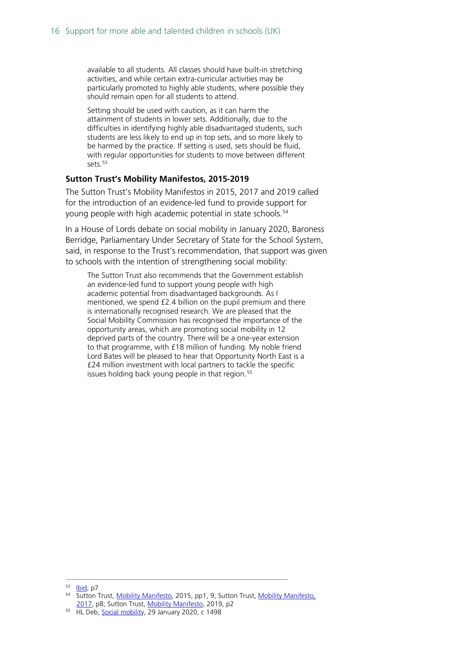available to all students. All classes should have built-in stretching activities, and while certain extra-curricular activities may be particularly promoted to highly able students, where possible they should remain open for all students to attend.

Setting should be used with caution, as it can harm the attainment of students in lower sets. Additionally, due to the difficulties in identifying highly able disadvantaged students, such students are less likely to end up in top sets, and so more likely to be harmed by the practice. If setting is used, sets should be fluid, with regular opportunities for students to move between different sets.<sup>[53](#page-15-0)</sup>

#### **Sutton Trust's Mobility Manifestos, 2015-2019**

The Sutton Trust's Mobility Manifestos in 2015, 2017 and 2019 called for the introduction of an evidence-led fund to provide support for young people with high academic potential in state schools.<sup>[54](#page-15-1)</sup>

In a House of Lords debate on social mobility in January 2020, Baroness Berridge, Parliamentary Under Secretary of State for the School System, said, in response to the Trust's recommendation, that support was given to schools with the intention of strengthening social mobility:

The Sutton Trust also recommends that the Government establish an evidence-led fund to support young people with high academic potential from disadvantaged backgrounds. As I mentioned, we spend £2.4 billion on the pupil premium and there is internationally recognised research. We are pleased that the Social Mobility Commission has recognised the importance of the opportunity areas, which are promoting social mobility in 12 deprived parts of the country. There will be a one-year extension to that programme, with £18 million of funding. My noble friend Lord Bates will be pleased to hear that Opportunity North East is a £24 million investment with local partners to tackle the specific issues holding back young people in that region.<sup>[55](#page-15-2)</sup>

<span id="page-15-0"></span><sup>&</sup>lt;sup>53</sup> [Ibid,](https://www.suttontrust.com/wp-content/uploads/2019/12/PotentialForSuccess.pdf) p7

<span id="page-15-1"></span><sup>54</sup> Sutton Trust[, Mobility Manifesto,](https://dera.ioe.ac.uk/30272/1/Mobility-Manifesto-2015-1.pdf) 2015, pp1, 9; Sutton Trust, Mobility Manifesto, [2017,](https://dera.ioe.ac.uk/30221/1/Mobility-Manifesto-2017_FINAL.pdf) p8; Sutton Trust, [Mobility Manifesto,](https://www.suttontrust.com/wp-content/uploads/2019/12/Mobility-Manifesto-2019-1.pdf) 2019, p2

<span id="page-15-2"></span><sup>55</sup> HL Deb[, Social mobility](https://hansard.parliament.uk/Lords/2020-01-29/debates/C4022763-E912-495E-AEEA-6BBFBDCF8805/SocialMobility#contribution-AFEC7A35-0F05-4557-A693-5E6DF646AA3E), 29 January 2020, c 1498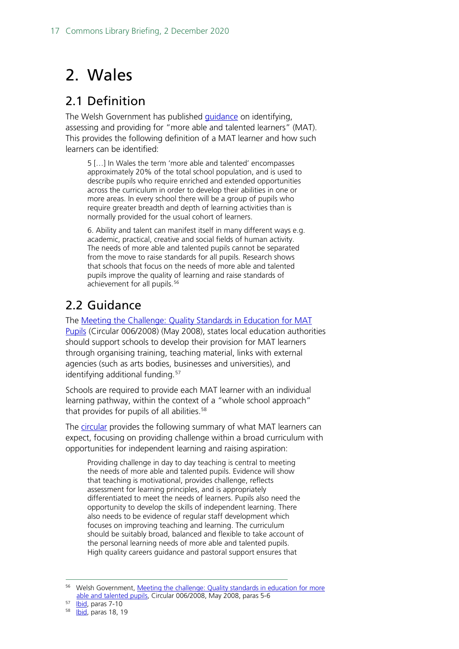# <span id="page-16-0"></span>2. Wales

## <span id="page-16-1"></span>2.1 Definition

The Welsh Government has published [guidance](https://gov.wales/more-able-and-talented-pupils) on identifying, assessing and providing for "more able and talented learners" (MAT). This provides the following definition of a MAT learner and how such learners can be identified:

5 […] In Wales the term 'more able and talented' encompasses approximately 20% of the total school population, and is used to describe pupils who require enriched and extended opportunities across the curriculum in order to develop their abilities in one or more areas. In every school there will be a group of pupils who require greater breadth and depth of learning activities than is normally provided for the usual cohort of learners.

6. Ability and talent can manifest itself in many different ways e.g. academic, practical, creative and social fields of human activity. The needs of more able and talented pupils cannot be separated from the move to raise standards for all pupils. Research shows that schools that focus on the needs of more able and talented pupils improve the quality of learning and raise standards of achievement for all pupils.<sup>[56](#page-16-3)</sup>

# <span id="page-16-2"></span>2.2 Guidance

The [Meeting the Challenge: Quality Standards in Education for MAT](https://gov.wales/quality-standards-more-able-and-talented-learners-guidance) [Pupils](https://gov.wales/quality-standards-more-able-and-talented-learners-guidance) (Circular 006/2008) (May 2008), states local education authorities should support schools to develop their provision for MAT learners through organising training, teaching material, links with external agencies (such as arts bodies, businesses and universities), and identifying additional funding.<sup>[57](#page-16-4)</sup>

Schools are required to provide each MAT learner with an individual learning pathway, within the context of a "whole school approach" that provides for pupils of all abilities. [58](#page-16-5)

The [circular](https://gov.wales/sites/default/files/publications/2018-11/meeting-the-challenge-quality-standards-in-education-for-more-able-and-talented-pupils_0.pdf) provides the following summary of what MAT learners can expect, focusing on providing challenge within a broad curriculum with opportunities for independent learning and raising aspiration:

Providing challenge in day to day teaching is central to meeting the needs of more able and talented pupils. Evidence will show that teaching is motivational, provides challenge, reflects assessment for learning principles, and is appropriately differentiated to meet the needs of learners. Pupils also need the opportunity to develop the skills of independent learning. There also needs to be evidence of regular staff development which focuses on improving teaching and learning. The curriculum should be suitably broad, balanced and flexible to take account of the personal learning needs of more able and talented pupils. High quality careers guidance and pastoral support ensures that

<span id="page-16-3"></span><sup>&</sup>lt;sup>56</sup> Welsh Government, Meeting the challenge: Quality standards in education for more [able and talented pupils,](https://gov.wales/sites/default/files/publications/2018-11/meeting-the-challenge-quality-standards-in-education-for-more-able-and-talented-pupils_0.pdf) Circular 006/2008, May 2008, paras 5-6

<span id="page-16-4"></span><sup>57</sup> [Ibid,](https://gov.wales/sites/default/files/publications/2018-11/meeting-the-challenge-quality-standards-in-education-for-more-able-and-talented-pupils_0.pdf) paras 7-10

<span id="page-16-5"></span><sup>58</sup> **Ibid**, paras 18, 19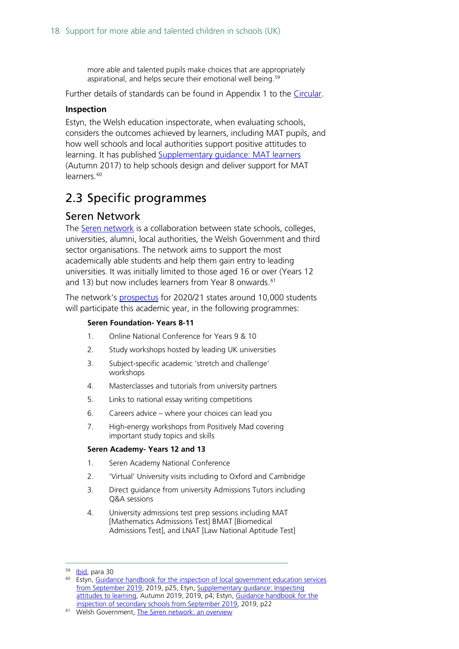more able and talented pupils make choices that are appropriately aspirational, and helps secure their emotional well being.<sup>[59](#page-17-2)</sup>

Further details of standards can be found in Appendix 1 to the [Circular.](https://gov.wales/sites/default/files/publications/2018-11/meeting-the-challenge-quality-standards-in-education-for-more-able-and-talented-pupils_0.pdf)

#### **Inspection**

Estyn, the Welsh education inspectorate, when evaluating schools, considers the outcomes achieved by learners, including MAT pupils, and how well schools and local authorities support positive attitudes to learning. It has published Supplementary quidance: MAT learners (Autumn 2017) to help schools design and deliver support for MAT learners. [60](#page-17-3)

## <span id="page-17-0"></span>2.3 Specific programmes

### <span id="page-17-1"></span>Seren Network

The [Seren network](https://gov.wales/seren-network) is a collaboration between state schools, colleges, universities, alumni, local authorities, the Welsh Government and third sector organisations. The network aims to support the most academically able students and help them gain entry to leading universities. It was initially limited to those aged 16 or over (Years 12 and 13) but now includes learners from Year 8 onwards.<sup>[61](#page-17-4)</sup>

The network's [prospectus](https://gov.wales/sites/default/files/publications/2020-10/seren-prospectus-class-of-2020-2021_0.pdf) for 2020/21 states around 10,000 students will participate this academic year, in the following programmes:

#### **Seren Foundation- Years 8-11**

- 1. Online National Conference for Years 9 & 10
- 2. Study workshops hosted by leading UK universities
- 3. Subject-specific academic 'stretch and challenge' workshops
- 4. Masterclasses and tutorials from university partners
- 5. Links to national essay writing competitions
- 6. Careers advice where your choices can lead you
- 7. High-energy workshops from Positively Mad covering important study topics and skills

#### **Seren Academy- Years 12 and 13**

- 1. Seren Academy National Conference
- 2. 'Virtual' University visits including to Oxford and Cambridge
- 3. Direct guidance from university Admissions Tutors including Q&A sessions
- 4. University admissions test prep sessions including MAT [Mathematics Admissions Test] BMAT [Biomedical Admissions Test], and LNAT [Law National Aptitude Test]

<sup>&</sup>lt;sup>59</sup> **Ibid**, para 30

<span id="page-17-3"></span><span id="page-17-2"></span><sup>&</sup>lt;sup>60</sup> Estyn, Guidance handbook for the inspection of local government education services [from September 2019,](https://www.estyn.gov.wales/system/files/2020-07/Guidance%2520handbook%2520for%2520the%2520inspection%2520of%2520LGES%25202019_0.pdf) 2019, p25, Etyn, [Supplementary guidance: Inspecting](https://www.estyn.gov.wales/system/files/2020-07/Supplementary%2520guidance%2520-%2520inspecting%2520attitudes%2520to%2520learning.pdf)  [attitudes to learning,](https://www.estyn.gov.wales/system/files/2020-07/Supplementary%2520guidance%2520-%2520inspecting%2520attitudes%2520to%2520learning.pdf) Autumn 2019, 2019, p4; Estyn, [Guidance handbook for the](https://www.estyn.gov.wales/system/files/2020-07/Guidance%2520handbook%2520for%2520the%2520inspection%2520of%2520secondary%2520schools%2520-%25202019_0.pdf)  [inspection of secondary schools from September 2019,](https://www.estyn.gov.wales/system/files/2020-07/Guidance%2520handbook%2520for%2520the%2520inspection%2520of%2520secondary%2520schools%2520-%25202019_0.pdf) 2019, p22

<span id="page-17-4"></span><sup>&</sup>lt;sup>61</sup> Welsh Government, The Seren network: an overview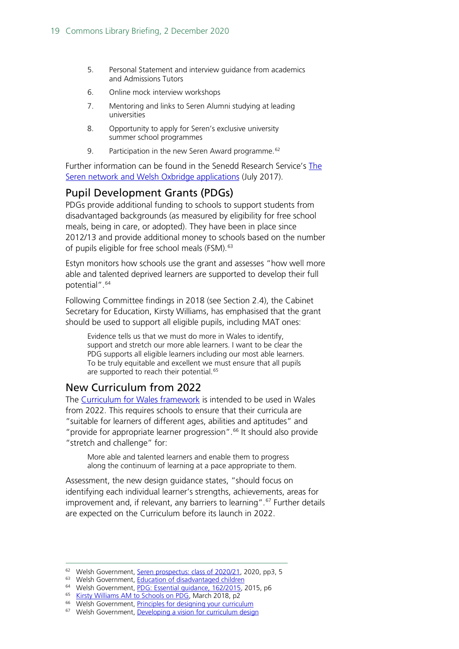- 5. Personal Statement and interview guidance from academics and Admissions Tutors
- 6. Online mock interview workshops
- 7. Mentoring and links to Seren Alumni studying at leading universities
- 8. Opportunity to apply for Seren's exclusive university summer school programmes
- 9. Participation in the new Seren Award programme.<sup>[62](#page-18-2)</sup>

Further information can be found in the Senedd Research Service's [The](https://seneddresearch.blog/2017/07/06/reach-for-the-stars-the-seren-network-and-welsh-oxbridge-applications/)  [Seren network and Welsh Oxbridge applications](https://seneddresearch.blog/2017/07/06/reach-for-the-stars-the-seren-network-and-welsh-oxbridge-applications/) (July 2017).

### <span id="page-18-0"></span>Pupil Development Grants (PDGs)

PDGs provide additional funding to schools to support students from disadvantaged backgrounds (as measured by eligibility for free school meals, being in care, or adopted). They have been in place since 2012/13 and provide additional money to schools based on the number of pupils eligible for free school meals (FSM). [63](#page-18-3)

Estyn monitors how schools use the grant and assesses "how well more able and talented deprived learners are supported to develop their full potential".<sup>[64](#page-18-4)</sup>

Following Committee findings in 2018 (see Section 2.4), the Cabinet Secretary for Education, Kirsty Williams, has emphasised that the grant should be used to support all eligible pupils, including MAT ones:

Evidence tells us that we must do more in Wales to identify, support and stretch our more able learners. I want to be clear the PDG supports all eligible learners including our most able learners. To be truly equitable and excellent we must ensure that all pupils are supported to reach their potential.<sup>[65](#page-18-5)</sup>

### <span id="page-18-1"></span>New Curriculum from 2022

The [Curriculum for Wales framework](https://gov.wales/curriculum-wales-overview) is intended to be used in Wales from 2022. This requires schools to ensure that their curricula are "suitable for learners of different ages, abilities and aptitudes" and "provide for appropriate learner progression". [66](#page-18-6) It should also provide "stretch and challenge" for:

More able and talented learners and enable them to progress along the continuum of learning at a pace appropriate to them.

Assessment, the new design guidance states, "should focus on identifying each individual learner's strengths, achievements, areas for improvement and, if relevant, any barriers to learning".<sup>[67](#page-18-7)</sup> Further details are expected on the Curriculum before its launch in 2022.

<span id="page-18-2"></span><sup>&</sup>lt;sup>62</sup> Welsh Government[, Seren prospectus: class of 2020/21,](https://gov.wales/sites/default/files/publications/2020-10/seren-prospectus-class-of-2020-2021_0.pdf) 2020, pp3, 5

<span id="page-18-3"></span><sup>&</sup>lt;sup>63</sup> Welsh Government[, Education of disadvantaged children](https://gov.wales/education-of-disadvantaged-children)

<span id="page-18-4"></span><sup>64</sup> Welsh Government[, PDG: Essential guidance, 162/2015,](https://gov.wales/sites/default/files/publications/2018-03/pupil-deprivation-grant-essential-guidance.pdf) 2015, p6

<span id="page-18-5"></span><sup>65</sup> [Kirsty Williams AM to Schools on PDG,](https://gov.wales/sites/default/files/publications/2018-03/letter-to-schools-pdg.pdf) March 2018, p2

<span id="page-18-6"></span><sup>66</sup> Welsh Government[, Principles for designing your curriculum](https://hwb.gov.wales/curriculum-for-wales/designing-your-curriculum/principles-for-designing-your-curriculum/#principles-of-progression)

<span id="page-18-7"></span><sup>&</sup>lt;sup>67</sup> Welsh Government[, Developing a vision for curriculum design](https://hwb.gov.wales/curriculum-for-wales/designing-your-curriculum/developing-a-vision-for-curriculum-design/)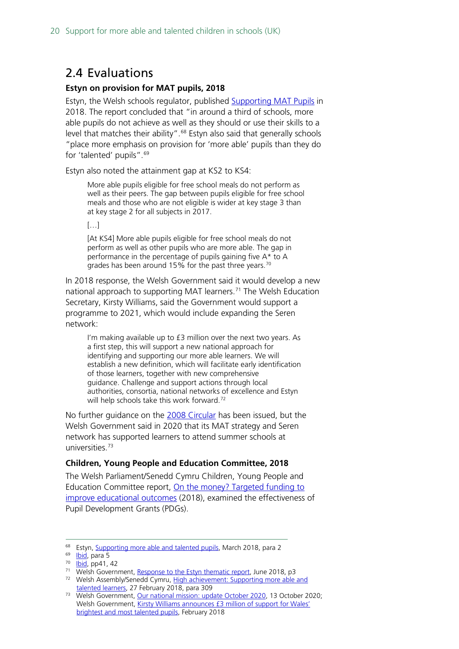## <span id="page-19-0"></span>2.4 Evaluations

#### **Estyn on provision for MAT pupils, 2018**

Estyn, the Welsh schools regulator, published [Supporting MAT Pupils](https://www.estyn.gov.wales/system/files/2020-07/Supporting%2520MAT%2520pupils%2520En.pdf) in 2018. The report concluded that "in around a third of schools, more able pupils do not achieve as well as they should or use their skills to a level that matches their ability".<sup>[68](#page-19-1)</sup> Estyn also said that generally schools "place more emphasis on provision for 'more able' pupils than they do for 'talented' pupils".<sup>69</sup>

Estyn also noted the attainment gap at KS2 to KS4:

More able pupils eligible for free school meals do not perform as well as their peers. The gap between pupils eligible for free school meals and those who are not eligible is wider at key stage 3 than at key stage 2 for all subjects in 2017.

 $[...]$ 

[At KS4] More able pupils eligible for free school meals do not perform as well as other pupils who are more able. The gap in performance in the percentage of pupils gaining five A\* to A grades has been around 15% for the past three years.<sup>[70](#page-19-3)</sup>

In 2018 response, the Welsh Government said it would develop a new national approach to supporting MAT learners.<sup>[71](#page-19-4)</sup> The Welsh Education Secretary, Kirsty Williams, said the Government would support a programme to 2021, which would include expanding the Seren network:

I'm making available up to £3 million over the next two years. As a first step, this will support a new national approach for identifying and supporting our more able learners. We will establish a new definition, which will facilitate early identification of those learners, together with new comprehensive guidance. Challenge and support actions through local authorities, consortia, national networks of excellence and Estyn will help schools take this work forward.<sup>[72](#page-19-5)</sup>

No further guidance on the [2008 Circular](https://gov.wales/quality-standards-more-able-and-talented-learners-guidance) has been issued, but the Welsh Government said in 2020 that its MAT strategy and Seren network has supported learners to attend summer schools at universities.[73](#page-19-6)

#### **Children, Young People and Education Committee, 2018**

The Welsh Parliament/Senedd Cymru Children, Young People and Education Committee report, [On the money? Targeted funding to](https://senedd.wales/laid%20documents/cr-ld11615/cr-ld11615-e.pdf)  [improve educational outcomes](https://senedd.wales/laid%20documents/cr-ld11615/cr-ld11615-e.pdf) (2018), examined the effectiveness of Pupil Development Grants (PDGs).

<span id="page-19-1"></span><sup>&</sup>lt;sup>68</sup> Estyn[, Supporting more able and talented pupils,](https://www.estyn.gov.wales/system/files/2020-07/Supporting%2520MAT%2520pupils%2520En.pdf) March 2018, para 2

<span id="page-19-2"></span><sup>&</sup>lt;sup>69</sup> [Ibid,](https://www.estyn.gov.wales/system/files/2020-07/Supporting%2520MAT%2520pupils%2520En.pdf) para 5

<span id="page-19-3"></span><sup>70</sup> **Ibid**, pp41, 42

<sup>&</sup>lt;sup>71</sup> Welsh Government[, Response to the Estyn thematic report,](https://gov.wales/sites/default/files/publications/2018-06/response-to-the-estyn-thematic-report-on-supporting-more-able-and-talented-pupils-how-best-to-challenge-and-nurture-more-able-and-talented-pupils-key-stages-2-to-4.pdf) June 2018, p3

<span id="page-19-5"></span><span id="page-19-4"></span><sup>&</sup>lt;sup>72</sup> Welsh Assembly/Senedd Cymru, High achievement: Supporting more able and [talented learners,](https://record.assembly.wales/Plenary/4908#A41858) 27 February 2018, para 309

<span id="page-19-6"></span><sup>73</sup> Welsh Government[, Our national mission: update October 2020,](https://gov.wales/education-wales-our-national-mission-update-october-2020-html) 13 October 2020; Welsh Government, [Kirsty Williams announces £3 million of support for Wales'](https://www.wired-gov.net/wg/news.nsf/articles/Kirsty+Williams+announces+3+million+of+support+for+Wales+brightest+and+most+talented+pupils+27022018132500?open)  [brightest and most talented pupils,](https://www.wired-gov.net/wg/news.nsf/articles/Kirsty+Williams+announces+3+million+of+support+for+Wales+brightest+and+most+talented+pupils+27022018132500?open) February 2018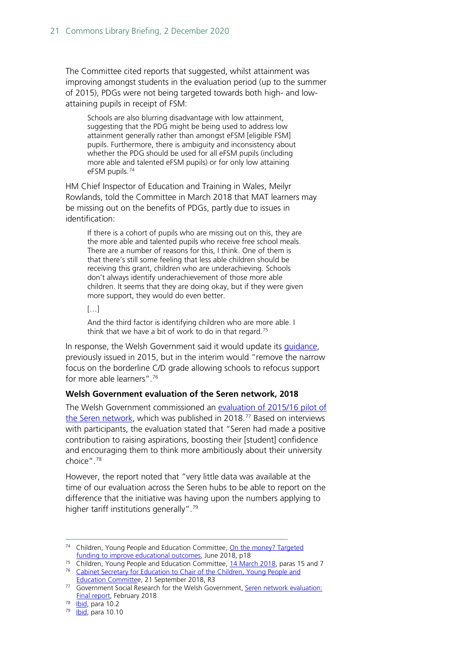The Committee cited reports that suggested, whilst attainment was improving amongst students in the evaluation period (up to the summer of 2015), PDGs were not being targeted towards both high- and lowattaining pupils in receipt of FSM:

Schools are also blurring disadvantage with low attainment, suggesting that the PDG might be being used to address low attainment generally rather than amongst eFSM [eligible FSM] pupils. Furthermore, there is ambiguity and inconsistency about whether the PDG should be used for all eFSM pupils (including more able and talented eFSM pupils) or for only low attaining eFSM pupils.[74](#page-20-0)

HM Chief Inspector of Education and Training in Wales, Meilyr Rowlands, told the Committee in March 2018 that MAT learners may be missing out on the benefits of PDGs, partly due to issues in identification:

If there is a cohort of pupils who are missing out on this, they are the more able and talented pupils who receive free school meals. There are a number of reasons for this, I think. One of them is that there's still some feeling that less able children should be receiving this grant, children who are underachieving. Schools don't always identify underachievement of those more able children. It seems that they are doing okay, but if they were given more support, they would do even better.

 $[...]$ 

And the third factor is identifying children who are more able. I think that we have a bit of work to do in that regard.<sup>[75](#page-20-1)</sup>

In response, the Welsh Government said it would update its [guidance,](https://gov.wales/pupil-development-grant-guidance) previously issued in 2015, but in the interim would "remove the narrow focus on the borderline C/D grade allowing schools to refocus support for more able learners".[76](#page-20-2)

#### **Welsh Government evaluation of the Seren network, 2018**

The Welsh Government commissioned an [evaluation of 2015/16](https://gov.wales/sites/default/files/statistics-and-research/2019-05/180205-seren-network-evaluation-en.pdf) pilot of the [Seren network,](https://gov.wales/sites/default/files/statistics-and-research/2019-05/180205-seren-network-evaluation-en.pdf) which was published in 2018.<sup>[77](#page-20-3)</sup> Based on interviews with participants, the evaluation stated that "Seren had made a positive contribution to raising aspirations, boosting their [student] confidence and encouraging them to think more ambitiously about their university choice".[78](#page-20-4)

However, the report noted that "very little data was available at the time of our evaluation across the Seren hubs to be able to report on the difference that the initiative was having upon the numbers applying to higher tariff institutions generally".<sup>[79](#page-20-5)</sup>

<span id="page-20-0"></span><sup>&</sup>lt;sup>74</sup> Children, Young People and Education Committee, On the money? Targeted [funding to improve educational outcomes,](https://senedd.wales/laid%20documents/cr-ld11615/cr-ld11615-e.pdf) June 2018, p18

<span id="page-20-2"></span><span id="page-20-1"></span><sup>&</sup>lt;sup>75</sup> Children, Young People and Education Committee[, 14 March 2018,](https://record.assembly.wales/Committee/4536) paras 15 and 7 <sup>76</sup> Cabinet Secretary for Education to Chair of the Children, Young People and [Education Committee](https://business.senedd.wales/documents/s79475/Welsh%20Government%20Response.pdf), 21 September 2018, R3

<span id="page-20-3"></span><sup>&</sup>lt;sup>77</sup> Government Social Research for the Welsh Government, Seren network evaluation: [Final report,](https://gov.wales/sites/default/files/statistics-and-research/2019-05/180205-seren-network-evaluation-en.pdf) February 2018

<span id="page-20-4"></span><sup>78</sup> **Ibid**, para 10.2

<span id="page-20-5"></span><sup>79</sup> **Ibid**, para 10.10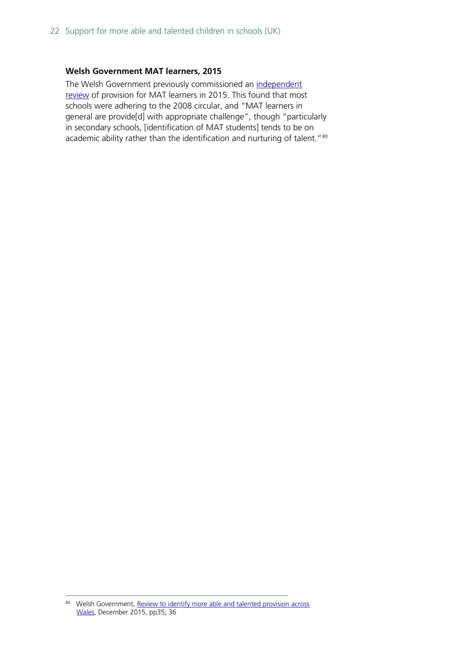#### **Welsh Government MAT learners, 2015**

The Welsh Government previously commissioned an independent [review](https://gov.wales/sites/default/files/publications/2018-02/review-to-identify-more-able-and-talented-provision-across-wales.pdf) of provision for MAT learners in 2015. This found that most schools were adhering to the 2008 circular, and "MAT learners in general are provide[d] with appropriate challenge", though "particularly in secondary schools, [identification of MAT students] tends to be on academic ability rather than the identification and nurturing of talent."<sup>[80](#page-21-0)</sup>

<span id="page-21-0"></span><sup>80</sup> Welsh Government, Review to identify more able and talented provision across [Wales,](https://gov.wales/sites/default/files/publications/2018-02/review-to-identify-more-able-and-talented-provision-across-wales.pdf) December 2015, pp35, 36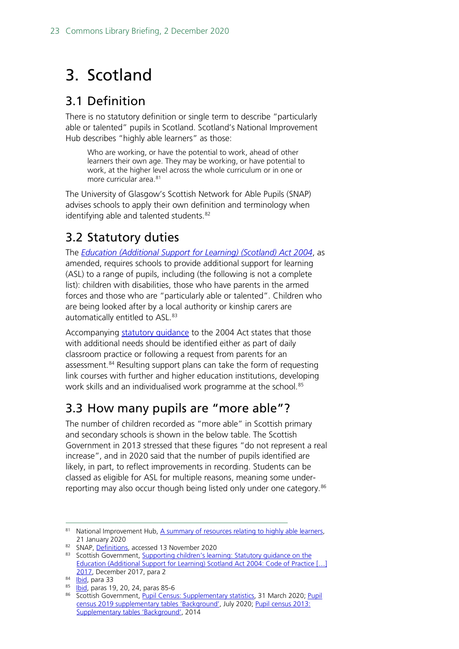# <span id="page-22-0"></span>3. Scotland

## <span id="page-22-1"></span>3.1 Definition

There is no statutory definition or single term to describe "particularly able or talented" pupils in Scotland. Scotland's National Improvement Hub describes "highly able learners" as those:

Who are working, or have the potential to work, ahead of other learners their own age. They may be working, or have potential to work, at the higher level across the whole curriculum or in one or more curricular area. [81](#page-22-4)

The University of Glasgow's Scottish Network for Able Pupils (SNAP) advises schools to apply their own definition and terminology when identifying able and talented students.<sup>[82](#page-22-5)</sup>

# <span id="page-22-2"></span>3.2 Statutory duties

The *[Education \(Additional Support for Learning\) \(Scotland\) Act 2004](https://www.legislation.gov.uk/asp/2009/7/contents)*, as amended, requires schools to provide additional support for learning (ASL) to a range of pupils, including (the following is not a complete list): children with disabilities, those who have parents in the armed forces and those who are "particularly able or talented". Children who are being looked after by a local authority or kinship carers are automatically entitled to ASL.<sup>[83](#page-22-6)</sup>

Accompanying statutory quidance to the 2004 Act states that those with additional needs should be identified either as part of daily classroom practice or following a request from parents for an assessment.<sup>[84](#page-22-7)</sup> Resulting support plans can take the form of requesting link courses with further and higher education institutions, developing work skills and an individualised work programme at the school.<sup>[85](#page-22-8)</sup>

## <span id="page-22-3"></span>3.3 How many pupils are "more able"?

The number of children recorded as "more able" in Scottish primary and secondary schools is shown in the below table. The Scottish Government in 2013 stressed that these figures "do not represent a real increase", and in 2020 said that the number of pupils identified are likely, in part, to reflect improvements in recording. Students can be classed as eligible for ASL for multiple reasons, meaning some under-reporting may also occur though being listed only under one category.<sup>[86](#page-22-9)</sup>

<span id="page-22-4"></span><sup>81</sup> National Improvement Hub[, A summary of resources relating to highly able learners,](https://education.gov.scot/improvement/learning-resources/a-summary-of-resources-relating-to-highly-able-learners/) 21 January 2020

<span id="page-22-5"></span><sup>82</sup> SNAP[, Definitions,](https://www.gla.ac.uk/research/az/ablepupils/resources/information/guidanceforschools/careerlongprofessionallearningactivities/#d.en.675300,definitions%0A,whoaretheselearnersandhowdoweidentifyandprovideforthem%3F) accessed 13 November 2020

<span id="page-22-6"></span><sup>83</sup> Scottish Government, Supporting children's learning: Statutory guidance on the [Education \(Additional Support for Learning\) Scotland Act 2004: Code of Practice \[…\]](https://www.gov.scot/binaries/content/documents/govscot/publications/advice-and-guidance/2017/12/supporting-childrens-learning-statutory-guidance-education-additional-support-learning-scotland/documents/00529411-pdf/00529411-pdf/govscot%3Adocument/00529411.pdf)  [2017,](https://www.gov.scot/binaries/content/documents/govscot/publications/advice-and-guidance/2017/12/supporting-childrens-learning-statutory-guidance-education-additional-support-learning-scotland/documents/00529411-pdf/00529411-pdf/govscot%3Adocument/00529411.pdf) December 2017, para 2

<span id="page-22-8"></span><span id="page-22-7"></span> $84$  [Ibid,](https://www.gov.scot/binaries/content/documents/govscot/publications/advice-and-guidance/2017/12/supporting-childrens-learning-statutory-guidance-education-additional-support-learning-scotland/documents/00529411-pdf/00529411-pdf/govscot%3Adocument/00529411.pdf) para 33

<sup>85</sup> **Ibid**, paras 19, 20, 24, paras 85-6

<span id="page-22-9"></span><sup>86</sup> Scottish Government, [Pupil Census: Supplementary statistics,](https://www.gov.scot/publications/pupil-census-supplementary-statistics/) 31 March 2020; Pupil [census 2019 supplementary tables 'Background',](https://www.gov.scot/binaries/content/documents/govscot/publications/statistics/2019/07/pupil-census-supplementary-tables/documents/pupil-census-2019-supplementary-tables/pupil-census-2019-supplementary-tables/govscot%3Adocument/Pupils%2Bin%2BScotland%2B2019%2Bupdated%2BJuly%2B2020.xlsx) July 2020; [Pupil census 2013:](https://www.gov.scot/binaries/content/documents/govscot/publications/statistics/2019/07/pupil-census-supplementary-tables/documents/pupil-census-2013-supplementary-tables/pupil-census-2013-supplementary-tables/govscot%3Adocument/pupil-census-supplementary-2013.xls)  [Supplementary tables 'Background',](https://www.gov.scot/binaries/content/documents/govscot/publications/statistics/2019/07/pupil-census-supplementary-tables/documents/pupil-census-2013-supplementary-tables/pupil-census-2013-supplementary-tables/govscot%3Adocument/pupil-census-supplementary-2013.xls) 2014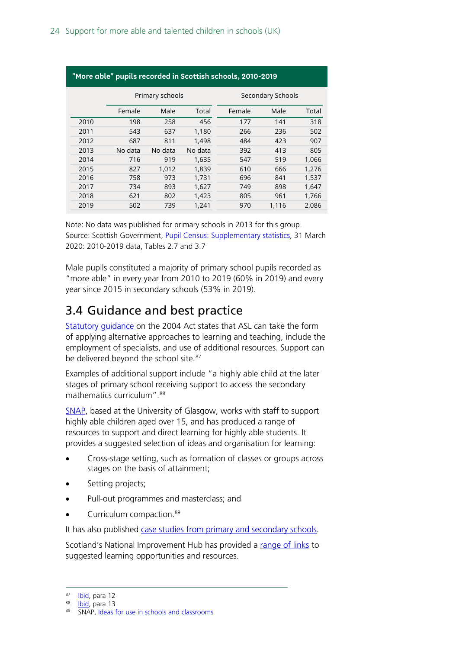| "More able" pupils recorded in Scottish schools, 2010-2019 |                 |         |         |        |                   |       |  |  |
|------------------------------------------------------------|-----------------|---------|---------|--------|-------------------|-------|--|--|
|                                                            | Primary schools |         |         |        | Secondary Schools |       |  |  |
|                                                            | Female          | Male    | Total   | Female | Male              | Total |  |  |
| 2010                                                       | 198             | 258     | 456     | 177    | 141               | 318   |  |  |
| 2011                                                       | 543             | 637     | 1.180   | 266    | 236               | 502   |  |  |
| 2012                                                       | 687             | 811     | 1.498   | 484    | 423               | 907   |  |  |
| 2013                                                       | No data         | No data | No data | 392    | 413               | 805   |  |  |
| 2014                                                       | 716             | 919     | 1.635   | 547    | 519               | 1,066 |  |  |
| 2015                                                       | 827             | 1.012   | 1.839   | 610    | 666               | 1.276 |  |  |
| 2016                                                       | 758             | 973     | 1,731   | 696    | 841               | 1,537 |  |  |
| 2017                                                       | 734             | 893     | 1,627   | 749    | 898               | 1,647 |  |  |
| 2018                                                       | 621             | 802     | 1,423   | 805    | 961               | 1,766 |  |  |
| 2019                                                       | 502             | 739     | 1.241   | 970    | 1.116             | 2.086 |  |  |

Note: No data was published for primary schools in 2013 for this group. Source: Scottish Government, [Pupil Census: Supplementary statistics,](https://www.gov.scot/publications/pupil-census-supplementary-statistics/) 31 March 2020: 2010-2019 data, Tables 2.7 and 3.7

Male pupils constituted a majority of primary school pupils recorded as "more able" in every year from 2010 to 2019 (60% in 2019) and every year since 2015 in secondary schools (53% in 2019).

## <span id="page-23-0"></span>3.4 Guidance and best practice

[Statutory guidance o](https://www.gov.scot/binaries/content/documents/govscot/publications/advice-and-guidance/2017/12/supporting-childrens-learning-statutory-guidance-education-additional-support-learning-scotland/documents/00529411-pdf/00529411-pdf/govscot%3Adocument/00529411.pdf)n the 2004 Act states that ASL can take the form of applying alternative approaches to learning and teaching, include the employment of specialists, and use of additional resources. Support can be delivered beyond the school site.<sup>[87](#page-23-1)</sup>

Examples of additional support include "a highly able child at the later stages of primary school receiving support to access the secondary mathematics curriculum".<sup>[88](#page-23-2)</sup>

[SNAP,](https://www.gla.ac.uk/research/az/ablepupils/) based at the University of Glasgow, works with staff to support highly able children aged over 15, and has produced a range of resources to support and direct learning for highly able students. It provides a suggested selection of ideas and organisation for learning:

- Cross-stage setting, such as formation of classes or groups across stages on the basis of attainment;
- Setting projects;
- Pull-out programmes and masterclass; and
- Curriculum compaction.<sup>[89](#page-23-3)</sup>

It has also published [case studies from primary and secondary schools.](https://www.gla.ac.uk/research/az/ablepupils/resources/information/guidanceforschools/casestudies/)

Scotland's National Improvement Hub has provided a [range of links](https://education.gov.scot/improvement/learning-resources/a-summary-of-resources-relating-to-highly-able-learners/) to suggested learning opportunities and resources.

<span id="page-23-1"></span><sup>87</sup> [Ibid,](https://www.gov.scot/binaries/content/documents/govscot/publications/advice-and-guidance/2017/12/supporting-childrens-learning-statutory-guidance-education-additional-support-learning-scotland/documents/00529411-pdf/00529411-pdf/govscot%3Adocument/00529411.pdf) para 12

<span id="page-23-2"></span><sup>88</sup> [Ibid,](https://www.gov.scot/binaries/content/documents/govscot/publications/advice-and-guidance/2017/12/supporting-childrens-learning-statutory-guidance-education-additional-support-learning-scotland/documents/00529411-pdf/00529411-pdf/govscot%3Adocument/00529411.pdf) para 13

<span id="page-23-3"></span><sup>89</sup> SNAP, [Ideas for use in schools and classrooms](https://www.gla.ac.uk/research/az/ablepupils/resources/information/guidanceforschools/resourcesandactivities/#ideasforuseinschoolsandclassrooms)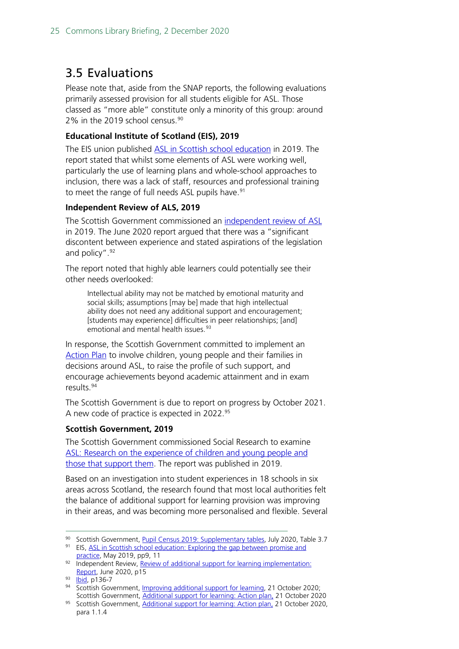## <span id="page-24-0"></span>3.5 Evaluations

Please note that, aside from the SNAP reports, the following evaluations primarily assessed provision for all students eligible for ASL. Those classed as "more able" constitute only a minority of this group: around 2% in the 2019 school census. $90$ 

### **Educational Institute of Scotland (EIS), 2019**

The EIS union published [ASL in Scottish school education](https://www.eis.org.uk/Content/images/education/ASN/ExploringTheGap.pdf) in 2019. The report stated that whilst some elements of ASL were working well, particularly the use of learning plans and whole-school approaches to inclusion, there was a lack of staff, resources and professional training to meet the range of full needs ASL pupils have.<sup>[91](#page-24-2)</sup>

### **Independent Review of ALS, 2019**

The Scottish Government commissioned an [independent review of ASL](https://www.gov.scot/publications/review-additional-support-learning-implementation/) in 2019. The June 2020 report argued that there was a "significant discontent between experience and stated aspirations of the legislation and policy".<sup>92</sup>

The report noted that highly able learners could potentially see their other needs overlooked:

Intellectual ability may not be matched by emotional maturity and social skills; assumptions [may be] made that high intellectual ability does not need any additional support and encouragement; [students may experience] difficulties in peer relationships; [and] emotional and mental health issues.<sup>[93](#page-24-4)</sup>

In response, the Scottish Government committed to implement an [Action Plan](https://www.gov.scot/publications/additional-support-learning-action-plan/) to involve children, young people and their families in decisions around ASL, to raise the profile of such support, and encourage achievements beyond academic attainment and in exam results<sup>[94](#page-24-5)</sup>

The Scottish Government is due to report on progress by October 2021. A new code of practice is expected in 2022.[95](#page-24-6)

### **Scottish Government, 2019**

The Scottish Government commissioned Social Research to examine ASL: Research on the experience of children and young people and [those that support them.](https://www.gov.scot/binaries/content/documents/govscot/publications/research-and-analysis/2019/03/additional-support-learning-research-experience-children-young-people-those-support/documents/additional-support-learning-research-experience-children-young-people-those-support/additional-support-learning-research-experience-children-young-people-those-support/govscot%3Adocument/additional-support-learning-research-experience-children-young-people-those-support.pdf) The report was published in 2019.

Based on an investigation into student experiences in 18 schools in six areas across Scotland, the research found that most local authorities felt the balance of additional support for learning provision was improving in their areas, and was becoming more personalised and flexible. Several

<span id="page-24-1"></span><sup>90</sup> Scottish Government, [Pupil Census 2019: Supplementary tables,](https://www.gov.scot/publications/pupil-census-supplementary-statistics/) July 2020, Table 3.7

<span id="page-24-2"></span><sup>91</sup> EIS, ASL in Scottish school education: Exploring the gap between promise and [practice,](https://www.eis.org.uk/Content/images/education/ASN/ExploringTheGap.pdf) May 2019, pp9, 11

<span id="page-24-3"></span><sup>92</sup> Independent Review, Review of additional support for learning implementation: [Report,](https://www.gov.scot/publications/review-additional-support-learning-implementation/) June 2020, p15

<span id="page-24-4"></span><sup>93</sup> **[Ibid,](https://www.gov.scot/binaries/content/documents/govscot/publications/independent-report/2020/06/review-additional-support-learning-implementation/documents/support-learning-children-potential/support-learning-children-potential/govscot%3Adocument/support-learning-children-potential.pdf) p136-7** 

<span id="page-24-5"></span><sup>94</sup> Scottish Government, [Improving additional support for learning,](https://www.gov.scot/news/improving-additional-support-for-learning/) 21 October 2020; Scottish Government[, Additional support for learning: Action plan,](https://www.gov.scot/publications/additional-support-learning-action-plan/) 21 October 2020

<span id="page-24-6"></span><sup>95</sup> Scottish Government, [Additional support for learning: Action plan,](https://www.gov.scot/publications/additional-support-learning-action-plan/) 21 October 2020, para 1.1.4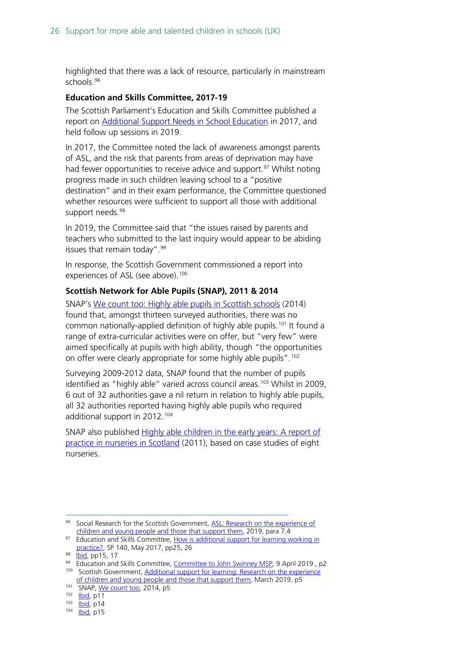highlighted that there was a lack of resource, particularly in mainstream schools.[96](#page-25-0)

#### **Education and Skills Committee, 2017-19**

The Scottish Parliament's Education and Skills Committee published a report on **Additional Support Needs in School Education** in 2017, and held follow up sessions in 2019.

In 2017, the Committee noted the lack of awareness amongst parents of ASL, and the risk that parents from areas of deprivation may have had fewer opportunities to receive advice and support.<sup>[97](#page-25-1)</sup> Whilst noting progress made in such children leaving school to a "positive destination" and in their exam performance, the Committee questioned whether resources were sufficient to support all those with additional support needs.<sup>[98](#page-25-2)</sup>

In 2019, the Committee said that "the issues raised by parents and teachers who submitted to the last inquiry would appear to be abiding issues that remain today".<sup>[99](#page-25-3)</sup>

In response, the Scottish Government commissioned a report into experiences of ASL (see above).<sup>[100](#page-25-4)</sup>

#### **Scottish Network for Able Pupils (SNAP), 2011 & 2014**

SNAP's We count [too: Highly able pupils in Scottish schools](https://www.potentialplusuk.org/wp-content/uploads/2019/01/We-Count-Too-SNAP.pdf) (2014) found that, amongst thirteen surveyed authorities, there was no common nationally-applied definition of highly able pupils.<sup>[101](#page-25-5)</sup> It found a range of extra-curricular activities were on offer, but "very few" were aimed specifically at pupils with high ability, though "the opportunities on offer were clearly appropriate for some highly able pupils".[102](#page-25-6)

Surveying 2009-2012 data, SNAP found that the number of pupils identified as "highly able" varied across council areas.<sup>[103](#page-25-7)</sup> Whilst in 2009, 6 out of 32 authorities gave a nil return in relation to highly able pupils, all 32 authorities reported having highly able pupils who required additional support in 2012.[104](#page-25-8)

SNAP also published Highly able children in the early years: A report of [practice in nurseries in Scotland](https://www.gla.ac.uk/media/Media_216018_smxx.pdf) (2011), based on case studies of eight nurseries.

<span id="page-25-0"></span><sup>&</sup>lt;sup>96</sup> Social Research for the Scottish Government, ASL: Research on the experience of [children and young people and those that support them,](https://www.gov.scot/binaries/content/documents/govscot/publications/research-and-analysis/2019/03/additional-support-learning-research-experience-children-young-people-those-support/documents/additional-support-learning-research-experience-children-young-people-those-support/additional-support-learning-research-experience-children-young-people-those-support/govscot%3Adocument/additional-support-learning-research-experience-children-young-people-those-support.pdf) 2019, para 7.4

<span id="page-25-1"></span><sup>97</sup> Education and Skills Committee, How is additional support for learning working in [practice?,](https://sp-bpr-en-prod-cdnep.azureedge.net/published/ES/2017/5/15/How-is-Additional-Support-for-Learning-working-in-practice--1/6th%20Report,%202017.pdf) SP 140, May 2017, pp25, 26

<span id="page-25-3"></span><span id="page-25-2"></span><sup>98</sup> **Ibid**, pp15, 17

<sup>&</sup>lt;sup>99</sup> Education and Skills Committee, [Committee to John Swinney MSP,](https://www.parliament.scot/S5_Education/Inquiries/20190408Out_ltr_from_Conv_to_DFM_re_ASN.pdf) 9 April 2019, p2 100 Scottish Government, Additional support for learning: Research on the experience

<span id="page-25-4"></span>[of children and young people and those that support them,](https://www.gov.scot/binaries/content/documents/govscot/publications/research-and-analysis/2019/03/additional-support-learning-research-experience-children-young-people-those-support/documents/additional-support-learning-research-experience-children-young-people-those-support/additional-support-learning-research-experience-children-young-people-those-support/govscot%3Adocument/additional-support-learning-research-experience-children-young-people-those-support.pdf) March 2019, p5

<span id="page-25-5"></span><sup>101</sup> SNAP[, We count too,](https://www.potentialplusuk.org/wp-content/uploads/2019/01/We-Count-Too-SNAP.pdf) 2014, p5

<span id="page-25-6"></span><sup>102</sup> **Ibid**, p11

<span id="page-25-7"></span> $\frac{103}{104}$   $\frac{1 \text{bid}}{1 \text{bid}}$  p14

<span id="page-25-8"></span>lbid, p15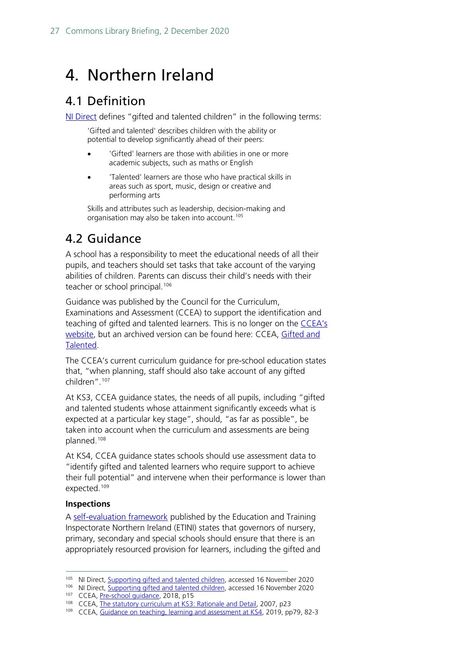# <span id="page-26-0"></span>4. Northern Ireland

## <span id="page-26-1"></span>4.1 Definition

[NI Direct](https://www.nidirect.gov.uk/articles/supporting-gifted-and-talented-children) defines "gifted and talented children" in the following terms:

'Gifted and talented' describes children with the ability or potential to develop significantly ahead of their peers:

- 'Gifted' learners are those with abilities in one or more academic subjects, such as maths or English
- 'Talented' learners are those who have practical skills in areas such as sport, music, design or creative and performing arts

Skills and attributes such as leadership, decision-making and organisation may also be taken into account.<sup>[105](#page-26-3)</sup>

# <span id="page-26-2"></span>4.2 Guidance

A school has a responsibility to meet the educational needs of all their pupils, and teachers should set tasks that take account of the varying abilities of children. Parents can discuss their child's needs with their teacher or school principal.<sup>[106](#page-26-4)</sup>

Guidance was published by the Council for the Curriculum, Examinations and Assessment (CCEA) to support the identification and teaching of gifted and talented learners. This is no longer on the CCEA's [website,](https://ccea.org.uk/sen-inclusion/gifted-talented) but an archived version can be found here: CCEA, [Gifted and](https://web.archive.org/web/20200107042659/https:/ccea.org.uk/curriculum/sen_inclusion/gifted_and_talented)  [Talented.](https://web.archive.org/web/20200107042659/https:/ccea.org.uk/curriculum/sen_inclusion/gifted_and_talented)

The CCEA's current curriculum guidance for pre-school education states that, "when planning, staff should also take account of any gifted children".[107](#page-26-5)

At KS3, CCEA guidance states, the needs of all pupils, including "gifted and talented students whose attainment significantly exceeds what is expected at a particular key stage", should, "as far as possible", be taken into account when the curriculum and assessments are being planned.[108](#page-26-6)

At KS4, CCEA guidance states schools should use assessment data to "identify gifted and talented learners who require support to achieve their full potential" and intervene when their performance is lower than expected.<sup>[109](#page-26-7)</sup>

### **Inspections**

A [self-evaluation framework](https://www.etini.gov.uk/sites/etini.gov.uk/files/publications/the-inspection-and-self-evaluation-framework-isef-effective-practice-and-self-evaluation-questions-for-governance.pdf) published by the Education and Training Inspectorate Northern Ireland (ETINI) states that governors of nursery, primary, secondary and special schools should ensure that there is an appropriately resourced provision for learners, including the gifted and

<span id="page-26-4"></span><span id="page-26-3"></span><sup>&</sup>lt;sup>105</sup> NI Direct, **Supporting gifted and talented children**, accessed 16 November 2020

<sup>106</sup> NI Direct[, Supporting gifted and talented children,](https://www.nidirect.gov.uk/articles/supporting-gifted-and-talented-children) accessed 16 November 2020

<sup>107</sup> CCEA[, Pre-school guidance,](https://www.education-ni.gov.uk/sites/default/files/publications/education/PreSchool_Guidance_30May18_Web.pdf) 2018, p15

<span id="page-26-6"></span><span id="page-26-5"></span><sup>&</sup>lt;sup>108</sup> CCEA[, The statutory curriculum at KS3: Rationale and Detail,](https://ccea.org.uk/downloads/docs/ccea-asset/Curriculum/The%20Statutory%20Curriculum%20at%20Key%20Stage%203.pdf) 2007, p23

<span id="page-26-7"></span><sup>109</sup> CCEA[, Guidance on teaching, learning and assessment at KS4,](https://ccea.org.uk/learning-resources/guidance-teaching-learning-and-assessment-key-stage-4) 2019, pp79, 82-3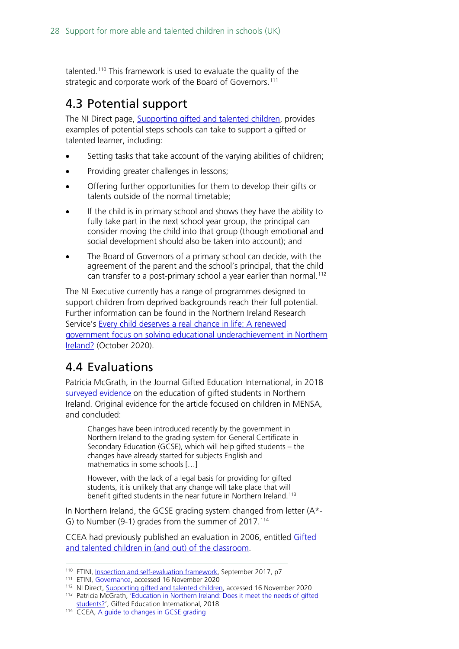talented.[110](#page-27-2) This framework is used to evaluate the quality of the strategic and corporate work of the Board of Governors. [111](#page-27-3)

## <span id="page-27-0"></span>4.3 Potential support

The NI Direct page, [Supporting gifted and talented children,](https://www.nidirect.gov.uk/articles/supporting-gifted-and-talented-children) provides examples of potential steps schools can take to support a gifted or talented learner, including:

- Setting tasks that take account of the varying abilities of children;
- Providing greater challenges in lessons;
- Offering further opportunities for them to develop their gifts or talents outside of the normal timetable;
- If the child is in primary school and shows they have the ability to fully take part in the next school year group, the principal can consider moving the child into that group (though emotional and social development should also be taken into account); and
- The Board of Governors of a primary school can decide, with the agreement of the parent and the school's principal, that the child can transfer to a post-primary school a year earlier than normal.<sup>[112](#page-27-4)</sup>

The NI Executive currently has a range of programmes designed to support children from deprived backgrounds reach their full potential. Further information can be found in the Northern Ireland Research Service's [Every child deserves a real chance in life: A renewed](https://www.assemblyresearchmatters.org/2020/10/12/every-child-deserves-a-real-chance-in-life-a-renewed-government-focus-on-solving-educational-underachievement-in-northern-ireland/)  [government focus on solving educational underachievement in Northern](https://www.assemblyresearchmatters.org/2020/10/12/every-child-deserves-a-real-chance-in-life-a-renewed-government-focus-on-solving-educational-underachievement-in-northern-ireland/)  [Ireland?](https://www.assemblyresearchmatters.org/2020/10/12/every-child-deserves-a-real-chance-in-life-a-renewed-government-focus-on-solving-educational-underachievement-in-northern-ireland/) (October 2020).

### <span id="page-27-1"></span>4.4 Evaluations

Patricia McGrath, in the Journal Gifted Education International, in 2018 [surveyed evidence o](https://journals.sagepub.com/doi/10.1177/0261429418784165)n the education of gifted students in Northern Ireland. Original evidence for the article focused on children in MENSA, and concluded:

Changes have been introduced recently by the government in Northern Ireland to the grading system for General Certificate in Secondary Education (GCSE), which will help gifted students – the changes have already started for subjects English and mathematics in some schools […]

However, with the lack of a legal basis for providing for gifted students, it is unlikely that any change will take place that will benefit gifted students in the near future in Northern Ireland. [113](#page-27-5)

In Northern Ireland, the GCSE grading system changed from letter (A\*- G) to Number (9-1) grades from the summer of 2017.<sup>[114](#page-27-6)</sup>

CCEA had previously published an evaluation in 2006, entitled [Gifted](http://www.nicurriculum.org.uk/docs/inclusion_and_sen/gifted/gifted_children_060306.pdf)  [and talented children in \(and out\) of the classroom.](http://www.nicurriculum.org.uk/docs/inclusion_and_sen/gifted/gifted_children_060306.pdf)

<span id="page-27-3"></span><span id="page-27-2"></span>111 ETINI[, Governance,](https://www.etini.gov.uk/articles/governance#:%7E:text=The%20Inspection%20and%20Self%2Devaluation%20Framework%20(ISEF)%20for%20Governance,transparency%20in%20the%20inspection%20process) accessed 16 November 2020

<sup>&</sup>lt;sup>110</sup> ETINI[, Inspection and self-evaluation framework,](https://www.etini.gov.uk/sites/etini.gov.uk/files/publications/the-inspection-and-self-evaluation-framework-isef-effective-practice-and-self-evaluation-questions-for-governance.pdf) September 2017, p7

<span id="page-27-5"></span><span id="page-27-4"></span><sup>112</sup> NI Direct, [Supporting gifted and talented children,](https://www.nidirect.gov.uk/articles/supporting-gifted-and-talented-children) accessed 16 November 2020 113 Patricia McGrath, 'Education in Northern Ireland: Does it meet the needs of gifted [students?',](https://journals.sagepub.com/doi/10.1177/0261429418784165) Gifted Education International, 2018

<span id="page-27-6"></span><sup>114</sup> CCEA[, A guide to changes in GCSE grading](https://ccea.org.uk/regulation/qualifications-regulation/guide-changes-gcse-grading)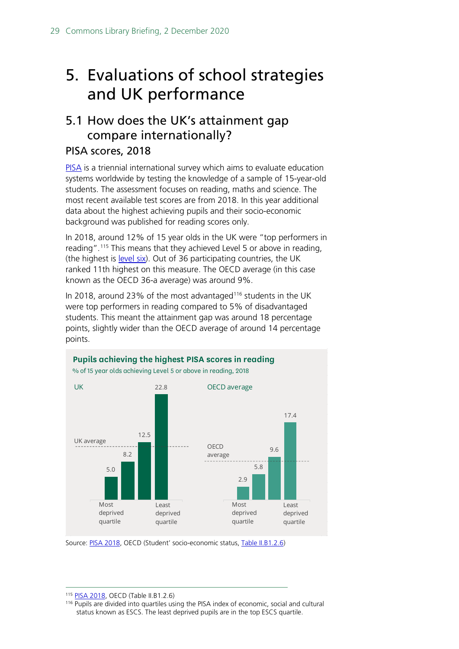# <span id="page-28-0"></span>5. Evaluations of school strategies and UK performance

## <span id="page-28-1"></span>5.1 How does the UK's attainment gap compare internationally?

### PISA scores, 2018

[PISA](https://www.oecd.org/pisa/aboutpisa/) is a triennial international survey which aims to evaluate education systems worldwide by testing the knowledge of a sample of 15-year-old students. The assessment focuses on reading, maths and science. The most recent available test scores are from 2018. In this year additional data about the highest achieving pupils and their socio-economic background was published for reading scores only.

In 2018, around 12% of 15 year olds in the UK were "top performers in reading".[115](#page-28-2) This means that they achieved Level 5 or above in reading, (the highest is [level six\)](https://www.oecd.org/pisa/pisa-for-development/8%20-%20How%20PISA-D%20measures%20reading%20literacy.pdf). Out of 36 participating countries, the UK ranked 11th highest on this measure. The OECD average (in this case known as the OECD 36-a average) was around 9%.

In 2018, around 23% of the most advantaged<sup>[116](#page-28-3)</sup> students in the UK were top performers in reading compared to 5% of disadvantaged students. This meant the attainment gap was around 18 percentage points, slightly wider than the OECD average of around 14 percentage points.



Source: [PISA 2018,](https://www.oecd.org/pisa/publications/) OECD (Student' socio-economic status, [Table II.B1.2.6\)](https://www.oecd-ilibrary.org/education/students-socio-economic-status_87cae472-en)

<span id="page-28-2"></span><sup>115</sup> [PISA 2018,](https://www.oecd.org/pisa/publications/) OECD (Table II.B1.2.6)

<span id="page-28-3"></span><sup>116</sup> Pupils are divided into quartiles using the PISA index of economic, social and cultural status known as ESCS. The least deprived pupils are in the top ESCS quartile.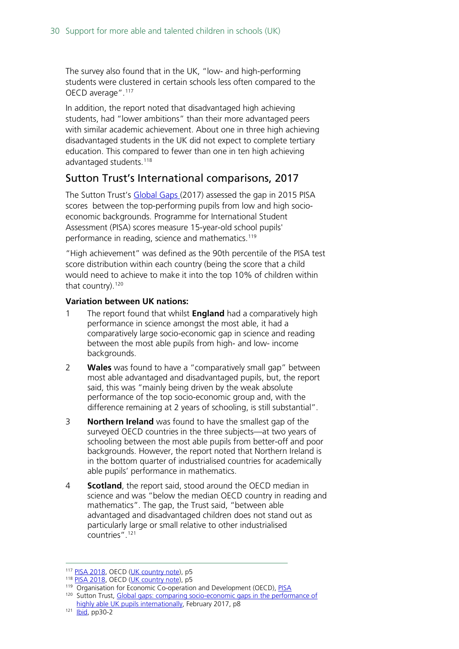The survey also found that in the UK, "low- and high-performing students were clustered in certain schools less often compared to the OECD average".<sup>[117](#page-29-0)</sup>

In addition, the report noted that disadvantaged high achieving students, had "lower ambitions" than their more advantaged peers with similar academic achievement. About one in three high achieving disadvantaged students in the UK did not expect to complete tertiary education. This compared to fewer than one in ten high achieving advantaged students.<sup>118</sup>

### Sutton Trust's International comparisons, 2017

The Sutton Trust's [Global Gaps \(](https://www.suttontrust.com/wp-content/uploads/2019/12/Global-Gaps_FINAL_V2_WEB.pdf)2017) assessed the gap in 2015 PISA scores between the top-performing pupils from low and high socioeconomic backgrounds. Programme for International Student Assessment (PISA) scores measure 15-year-old school pupils' performance in reading, science and mathematics. [119](#page-29-2)

"High achievement" was defined as the 90th percentile of the PISA test score distribution within each country (being the score that a child would need to achieve to make it into the top 10% of children within that country). $120$ 

### **Variation between UK nations:**

- 1 The report found that whilst **England** had a comparatively high performance in science amongst the most able, it had a comparatively large socio-economic gap in science and reading between the most able pupils from high- and low- income backgrounds.
- 2 **Wales** was found to have a "comparatively small gap" between most able advantaged and disadvantaged pupils, but, the report said, this was "mainly being driven by the weak absolute performance of the top socio-economic group and, with the difference remaining at 2 years of schooling, is still substantial".
- 3 **Northern Ireland** was found to have the smallest gap of the surveyed OECD countries in the three subjects—at two years of schooling between the most able pupils from better-off and poor backgrounds. However, the report noted that Northern Ireland is in the bottom quarter of industrialised countries for academically able pupils' performance in mathematics.
- **4 Scotland**, the report said, stood around the OECD median in science and was "below the median OECD country in reading and mathematics". The gap, the Trust said, "between able advantaged and disadvantaged children does not stand out as particularly large or small relative to other industrialised countries".[121](#page-29-4)

<sup>117</sup> [PISA 2018,](https://www.oecd.org/pisa/publications/) OECD [\(UK country note\)](https://www.oecd.org/pisa/publications/PISA2018_CN_GBR.pdf), p5

<span id="page-29-2"></span><span id="page-29-1"></span><span id="page-29-0"></span><sup>&</sup>lt;sup>118</sup> [PISA 2018,](https://www.oecd.org/pisa/publications/) OECD [\(UK country note\)](https://www.oecd.org/pisa/publications/PISA2018_CN_GBR.pdf), p5<br><sup>119</sup> Organisation for Economic Co-operation and Development (OECD), PISA 120 Sutton Trust, Global gaps: comparing socio-economic gaps in the performance of [highly able UK pupils internationally,](https://www.suttontrust.com/wp-content/uploads/2019/12/Global-Gaps_FINAL_V2_WEB.pdf) February 2017, p8

<span id="page-29-4"></span><span id="page-29-3"></span> $121$   $\overline{lbid}$ , pp30-2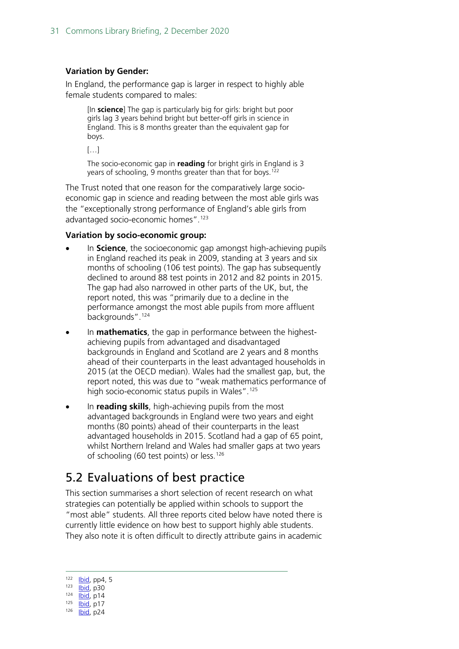#### **Variation by Gender:**

In England, the performance gap is larger in respect to highly able female students compared to males:

[In **science**] The gap is particularly big for girls: bright but poor girls lag 3 years behind bright but better-off girls in science in England. This is 8 months greater than the equivalent gap for boys.

[…]

The socio-economic gap in **reading** for bright girls in England is 3 years of schooling, 9 months greater than that for boys. [122](#page-30-1)

The Trust noted that one reason for the comparatively large socioeconomic gap in science and reading between the most able girls was the "exceptionally strong performance of England's able girls from advantaged socio-economic homes". [123](#page-30-2)

#### **Variation by socio-economic group:**

- In **Science**, the socioeconomic gap amongst high-achieving pupils in England reached its peak in 2009, standing at 3 years and six months of schooling (106 test points). The gap has subsequently declined to around 88 test points in 2012 and 82 points in 2015. The gap had also narrowed in other parts of the UK, but, the report noted, this was "primarily due to a decline in the performance amongst the most able pupils from more affluent backgrounds".<sup>[124](#page-30-3)</sup>
- In **mathematics**, the gap in performance between the highestachieving pupils from advantaged and disadvantaged backgrounds in England and Scotland are 2 years and 8 months ahead of their counterparts in the least advantaged households in 2015 (at the OECD median). Wales had the smallest gap, but, the report noted, this was due to "weak mathematics performance of high socio-economic status pupils in Wales".<sup>[125](#page-30-4)</sup>
- In **reading skills**, high-achieving pupils from the most advantaged backgrounds in England were two years and eight months (80 points) ahead of their counterparts in the least advantaged households in 2015. Scotland had a gap of 65 point, whilst Northern Ireland and Wales had smaller gaps at two years of schooling (60 test points) or less.<sup>[126](#page-30-5)</sup>

## <span id="page-30-0"></span>5.2 Evaluations of best practice

This section summarises a short selection of recent research on what strategies can potentially be applied within schools to support the "most able" students. All three reports cited below have noted there is currently little evidence on how best to support highly able students. They also note it is often difficult to directly attribute gains in academic

<span id="page-30-2"></span><span id="page-30-1"></span>**Ibid**, pp4, 5  $\overline{libid}$ , p30  $\overline{I}$   $\overline{I}$   $\overline{I}$   $\overline{I}$   $\overline{I}$   $\overline{I}$   $\overline{I}$   $\overline{I}$   $\overline{I}$   $\overline{I}$   $\overline{I}$ **Ibid**, p17

<span id="page-30-5"></span><span id="page-30-4"></span><span id="page-30-3"></span>126 **Ibid**, p24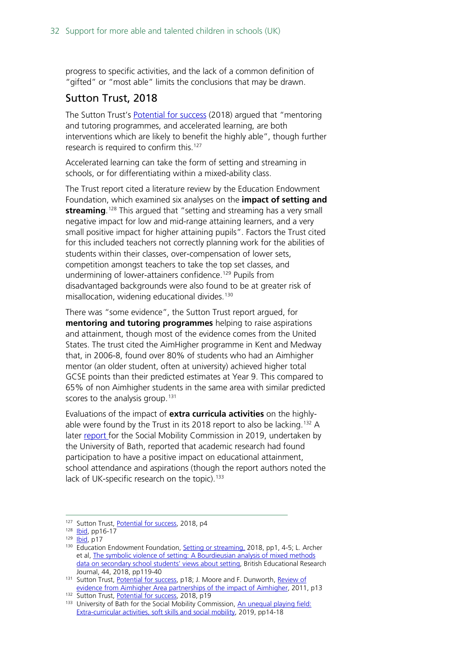progress to specific activities, and the lack of a common definition of "gifted" or "most able" limits the conclusions that may be drawn.

### Sutton Trust, 2018

The Sutton Trust's [Potential for success](https://www.suttontrust.com/wp-content/uploads/2019/12/PotentialForSuccess.pdf) (2018) argued that "mentoring and tutoring programmes, and accelerated learning, are both interventions which are likely to benefit the highly able", though further research is required to confirm this.<sup>[127](#page-31-0)</sup>

Accelerated learning can take the form of setting and streaming in schools, or for differentiating within a mixed-ability class.

The Trust report cited [a](https://educationendowmentfoundation.org.uk/pdf/generate/?u=https://educationendowmentfoundation.org.uk/pdf/toolkit/?id=127&t=Teaching%20and%20Learning%20Toolkit&e=127&s=) literature review by the Education Endowment Foundation, which examined six analyses on the **impact of setting and streaming**. [128](#page-31-1) This argued that "setting and streaming has a very small negative impact for low and mid-range attaining learners, and a very small positive impact for higher attaining pupils". Factors the Trust cited for this included teachers not correctly planning work for the abilities of students within their classes, over-compensation of lower sets, competition amongst teachers to take the top set classes, and undermining of lower-attainers confidence.<sup>[129](#page-31-2)</sup> Pupils from disadvantaged backgrounds were also found to be at greater risk of misallocation, widening educational divides.<sup>[130](#page-31-3)</sup>

There was "some evidence", the Sutton Trust report argued, for **mentoring and tutoring programmes** helping to raise aspirations and attainment, though most of the evidence comes from the United States. The trust cited the AimHigher programme in Kent and Medway that, in 2006-8, found over 80% of students who had an Aimhigher mentor (an older student, often at university) achieved higher total GCSE points than their predicted estimates at Year 9. This compared to 65% of non Aimhigher students in the same area with similar predicted scores to the analysis group.<sup>[131](#page-31-4)</sup>

Evaluations of the impact of **extra curricula activities** on the highlyable were found by the Trust in its 2018 report to also be lacking. [132](#page-31-5) A later [report f](https://assets.publishing.service.gov.uk/government/uploads/system/uploads/attachment_data/file/818679/An_Unequal_Playing_Field_report.pdf)or the Social Mobility Commission in 2019, undertaken by the University of Bath, reported that academic research had found participation to have a positive impact on educational attainment, school attendance and aspirations (though the report authors noted the lack of UK-specific research on the topic).<sup>[133](#page-31-6)</sup>

<span id="page-31-0"></span><sup>&</sup>lt;sup>127</sup> Sutton Trust[, Potential for success,](https://www.suttontrust.com/wp-content/uploads/2019/12/PotentialForSuccess.pdf) 2018, p4

<span id="page-31-1"></span><sup>128</sup> **Ibid**, pp16-17

<span id="page-31-2"></span><sup>129</sup> **Ibid**, p17

<span id="page-31-3"></span><sup>130</sup> Education Endowment Foundation[, Setting or streaming,](https://educationendowmentfoundation.org.uk/pdf/generate/?u=https://educationendowmentfoundation.org.uk/pdf/toolkit/?id=127&t=Teaching%20and%20Learning%20Toolkit&e=127&s=) 2018, pp1, 4-5; L. Archer et al[, The symbolic violence of setting: A Bourdieusian analysis of mixed methods](https://www.mixedattainmentmaths.com/uploads/2/3/7/7/23776169/archer_et_al-2018-british_educational_research_journal.pdf)  [data on secondary school students' views about setting,](https://www.mixedattainmentmaths.com/uploads/2/3/7/7/23776169/archer_et_al-2018-british_educational_research_journal.pdf) British Educational Research Journal, 44, 2018, pp119-40

<span id="page-31-4"></span><sup>&</sup>lt;sup>131</sup> Sutton Trust[, Potential for success,](https://www.suttontrust.com/wp-content/uploads/2019/12/PotentialForSuccess.pdf) p18; J. Moore and F. Dunworth, Review of evidence from Aimhigher Area [partnerships of the impact of Aimhigher,](https://www.heacademy.ac.uk/system/files/AH_EVIDENCE_REPORT_2011.pdf) 2011, p13

<span id="page-31-5"></span><sup>132</sup> Sutton Trust[, Potential for success,](https://www.suttontrust.com/wp-content/uploads/2019/12/PotentialForSuccess.pdf) 2018, p19

<span id="page-31-6"></span><sup>133</sup> University of Bath for the Social Mobility Commission, An unequal playing field: Extra-curricular [activities, soft skills and social mobility,](https://assets.publishing.service.gov.uk/government/uploads/system/uploads/attachment_data/file/818679/An_Unequal_Playing_Field_report.pdf) 2019, pp14-18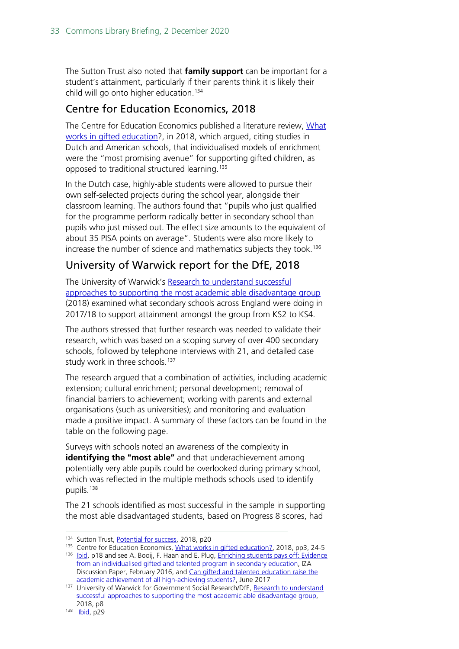The Sutton Trust also noted that **family support** can be important for a student's attainment, particularly if their parents think it is likely their child will go onto higher education[.134](#page-32-0)

### Centre for Education Economics, 2018

The Centre for Education Economics published a literature review, What [works in gifted education?](https://www.potentialplusuk.org/wp-content/uploads/2019/01/What-Works-in-Gifted-Education-CfEE.pdf), in 2018, which argued, citing studies in Dutch and American schools, that individualised models of enrichment were the "most promising avenue" for supporting gifted children, as opposed to traditional structured learning. [135](#page-32-1)

In the Dutch case, highly-able students were allowed to pursue their own self-selected projects during the school year, alongside their classroom learning. The authors found that "pupils who just qualified for the programme perform radically better in secondary school than pupils who just missed out. The effect size amounts to the equivalent of about 35 PISA points on average". Students were also more likely to increase the number of science and mathematics subjects they took. [136](#page-32-2)

### University of Warwick report for the DfE, 2018

The University of Warwick's Research to understand successful [approaches to supporting the most academic able disadvantage group](https://assets.publishing.service.gov.uk/government/uploads/system/uploads/attachment_data/file/915619/Research_to_understand_successful_approaches_to_supporting_the_most_academically_able_disadvantaged_pupils.pdf) (2018) examined what secondary schools across England were doing in 2017/18 to support attainment amongst the group from KS2 to KS4.

The authors stressed that further research was needed to validate their research, which was based on a scoping survey of over 400 secondary schools, followed by telephone interviews with 21, and detailed case study work in three schools.<sup>[137](#page-32-3)</sup>

The research argued that a combination of activities, including academic extension; cultural enrichment; personal development; removal of financial barriers to achievement; working with parents and external organisations (such as universities); and monitoring and evaluation made a positive impact. A summary of these factors can be found in the table on the following page.

Surveys with schools noted an awareness of the complexity in **identifying the "most able"** and that underachievement among potentially very able pupils could be overlooked during primary school, which was reflected in the multiple methods schools used to identify pupils.<sup>[138](#page-32-4)</sup>

The 21 schools identified as most successful in the sample in supporting the most able disadvantaged students, based on Progress 8 scores, had

<span id="page-32-0"></span><sup>134</sup> Sutton Trust[, Potential for success,](https://www.suttontrust.com/wp-content/uploads/2019/12/PotentialForSuccess.pdf) 2018, p20

<span id="page-32-2"></span><span id="page-32-1"></span><sup>135</sup> Centre for Education Economics, [What works in gifted education?,](https://www.potentialplusuk.org/wp-content/uploads/2019/01/What-Works-in-Gifted-Education-CfEE.pdf) 2018, pp3, 24-5

<sup>136</sup> [Ibid,](https://www.potentialplusuk.org/wp-content/uploads/2019/01/What-Works-in-Gifted-Education-CfEE.pdf) p18 and see A. Booij, F. Haan and E. Plug[, Enriching students pays off: Evidence](http://ftp.iza.org/dp9757.pdf) [from an individualised gifted and talented program in secondary education,](http://ftp.iza.org/dp9757.pdf) IZA Discussion Paper, February 2016, and Can gifted and talented education raise the academic achievement [of all high-achieving students?,](http://ftp.iza.org/dp10836.pdf) June 2017

<span id="page-32-3"></span><sup>137</sup> University of Warwick for Government Social Research/DfE, Research to understand [successful approaches to supporting the most academic able disadvantage group,](https://assets.publishing.service.gov.uk/government/uploads/system/uploads/attachment_data/file/915619/Research_to_understand_successful_approaches_to_supporting_the_most_academically_able_disadvantaged_pupils.pdf)  2018, p8

<span id="page-32-4"></span><sup>138</sup> **Ibid**, p29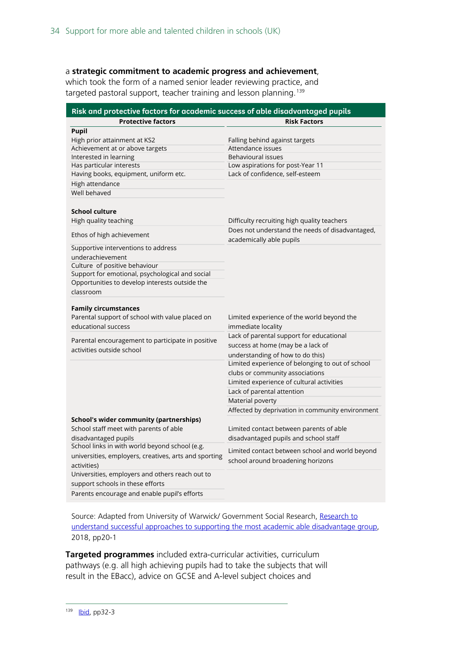#### a **strategic commitment to academic progress and achievement**,

which took the form of a named senior leader reviewing practice, and targeted pastoral support, teacher training and lesson planning.<sup>[139](#page-33-0)</sup>

| Risk and protective factors for academic success of able disadvantaged pupils |                                                  |  |  |  |  |  |
|-------------------------------------------------------------------------------|--------------------------------------------------|--|--|--|--|--|
| <b>Protective factors</b>                                                     | <b>Risk Factors</b>                              |  |  |  |  |  |
| <b>Pupil</b>                                                                  |                                                  |  |  |  |  |  |
| High prior attainment at KS2                                                  | Falling behind against targets                   |  |  |  |  |  |
| Achievement at or above targets                                               | Attendance issues                                |  |  |  |  |  |
| Interested in learning                                                        | <b>Behavioural issues</b>                        |  |  |  |  |  |
| Has particular interests                                                      | Low aspirations for post-Year 11                 |  |  |  |  |  |
| Having books, equipment, uniform etc.                                         | Lack of confidence, self-esteem                  |  |  |  |  |  |
| High attendance                                                               |                                                  |  |  |  |  |  |
| Well behaved                                                                  |                                                  |  |  |  |  |  |
|                                                                               |                                                  |  |  |  |  |  |
| <b>School culture</b>                                                         |                                                  |  |  |  |  |  |
| High quality teaching                                                         | Difficulty recruiting high quality teachers      |  |  |  |  |  |
|                                                                               | Does not understand the needs of disadvantaged,  |  |  |  |  |  |
| Ethos of high achievement                                                     | academically able pupils                         |  |  |  |  |  |
| Supportive interventions to address                                           |                                                  |  |  |  |  |  |
| underachievement                                                              |                                                  |  |  |  |  |  |
| Culture of positive behaviour                                                 |                                                  |  |  |  |  |  |
| Support for emotional, psychological and social                               |                                                  |  |  |  |  |  |
| Opportunities to develop interests outside the                                |                                                  |  |  |  |  |  |
| classroom                                                                     |                                                  |  |  |  |  |  |
|                                                                               |                                                  |  |  |  |  |  |
| <b>Family circumstances</b>                                                   |                                                  |  |  |  |  |  |
| Parental support of school with value placed on                               | Limited experience of the world beyond the       |  |  |  |  |  |
| educational success                                                           | immediate locality                               |  |  |  |  |  |
| Parental encouragement to participate in positive                             | Lack of parental support for educational         |  |  |  |  |  |
| activities outside school                                                     | success at home (may be a lack of                |  |  |  |  |  |
|                                                                               | understanding of how to do this)                 |  |  |  |  |  |
|                                                                               | Limited experience of belonging to out of school |  |  |  |  |  |
|                                                                               | clubs or community associations                  |  |  |  |  |  |
|                                                                               | Limited experience of cultural activities        |  |  |  |  |  |
|                                                                               | Lack of parental attention                       |  |  |  |  |  |
|                                                                               | Material poverty                                 |  |  |  |  |  |
|                                                                               | Affected by deprivation in community environment |  |  |  |  |  |
| <b>School's wider community (partnerships)</b>                                |                                                  |  |  |  |  |  |
| School staff meet with parents of able                                        | Limited contact between parents of able          |  |  |  |  |  |
| disadvantaged pupils                                                          | disadvantaged pupils and school staff            |  |  |  |  |  |
| School links in with world beyond school (e.g.                                | Limited contact between school and world beyond  |  |  |  |  |  |
| universities, employers, creatives, arts and sporting                         | school around broadening horizons                |  |  |  |  |  |
| activities)                                                                   |                                                  |  |  |  |  |  |
| Universities, employers and others reach out to                               |                                                  |  |  |  |  |  |
| support schools in these efforts                                              |                                                  |  |  |  |  |  |
| Parents encourage and enable pupil's efforts                                  |                                                  |  |  |  |  |  |

Source: Adapted from University of Warwick/ Government Social Research, Research to [understand successful approaches to supporting the most academic able disadvantage group,](https://hopuk-my.sharepoint.com/personal/loftp_parliament_uk/Documents/Research_to_understand_successful_approaches_to_supporting_the_most_academically_able_disadvantaged_pupils) 2018, pp20-1

<span id="page-33-0"></span>**Targeted programmes** included extra-curricular activities, curriculum pathways (e.g. all high achieving pupils had to take the subjects that will result in the EBacc), advice on GCSE and A-level subject choices and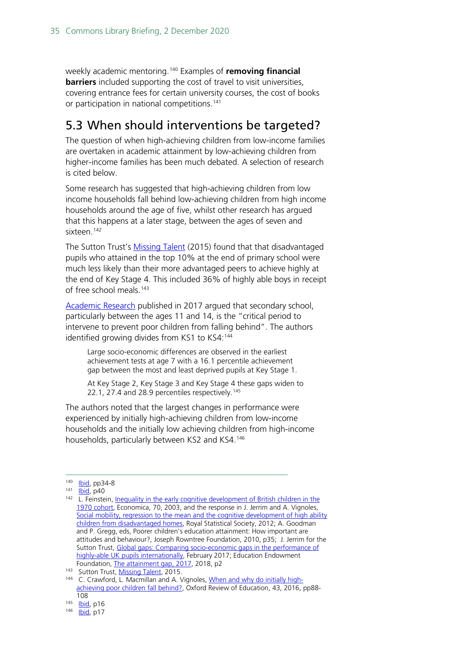weekly academic mentoring.[140](#page-34-1) Examples of **removing financial barriers** included supporting the cost of travel to visit universities, covering entrance fees for certain university courses, the cost of books or participation in national competitions.<sup>[141](#page-34-2)</sup>

## <span id="page-34-0"></span>5.3 When should interventions be targeted?

The question of when high-achieving children from low-income families are overtaken in academic attainment by low-achieving children from higher-income families has been much debated. A selection of research is cited below.

Some research has suggested that high-achieving children from low income households fall behind low-achieving children from high income households around the age of five, whilst other research has argued that this happens at a later stage, between the ages of seven and sixteen.<sup>[142](#page-34-3)</sup>

The Sutton Trust's [Missing Talent](http://www.educationengland.org.uk/documents/pdfs/2015-sutton-missing-talent.pdf) (2015) found that that disadvantaged pupils who attained in the top 10% at the end of primary school were much less likely than their more advantaged peers to achieve highly at the end of Key Stage 4. This included 36% of highly able boys in receipt of free school meals.<sup>[143](#page-34-4)</sup>

[Academic Research](http://pure-oai.bham.ac.uk/ws/files/54497999/final_submission_of_Crawford_Macmillan_Vignoles_OxRevEd.pdf) published in 2017 argued that secondary school, particularly between the ages 11 and 14, is the "critical period to intervene to prevent poor children from falling behind". The authors identified growing divides from KS1 to KS4:<sup>[144](#page-34-5)</sup>

Large socio-economic differences are observed in the earliest achievement tests at age 7 with a 16.1 percentile achievement gap between the most and least deprived pupils at Key Stage 1.

At Key Stage 2, Key Stage 3 and Key Stage 4 these gaps widen to 22.1, 27.4 and 28.9 percentiles respectively.<sup>[145](#page-34-6)</sup>

The authors noted that the largest changes in performance were experienced by initially high-achieving children from low-income households and the initially low achieving children from high-income households, particularly between KS2 and KS4. [146](#page-34-7)

<sup>140</sup> **Ibid**, pp34-8

<span id="page-34-2"></span><span id="page-34-1"></span><sup>141</sup> **Ibid**, p40

<span id="page-34-3"></span><sup>&</sup>lt;sup>142</sup> L. Feinstein, *Inequality in the early cognitive development of British children in the* [1970 cohort,](https://onlinelibrary.wiley.com/doi/abs/10.1111/1468-0335.t01-1-00272) Economica, 70, 2003, and the response in J. Jerrim and A. Vignoles, Social mobility, regression to the mean and the cognitive development of high ability [children from disadvantaged homes,](https://rss.onlinelibrary.wiley.com/doi/abs/10.1111/j.1467-985X.2012.01072.x) Royal Statistical Society, 2012; A. Goodman and P. Gregg, eds, Poorer children's education attainment: How important are attitudes and behaviour?, Joseph Rowntree Foundation, 2010, p35; J. Jerrim for the Sutton Trust, Global gaps: Comparing socio-economic gaps in the performance of [highly-able UK pupils internationally,](https://www.suttontrust.com/wp-content/uploads/2019/12/Global-Gaps_FINAL_V2_WEB.pdf) February 2017; Education Endowment Foundation, [The attainment gap, 2017,](https://educationendowmentfoundation.org.uk/public/files/Annual_Reports/EEF_Attainment_Gap_Report_2018.pdf) 2018, p2

<sup>143</sup> Sutton Trust[, Missing Talent,](http://www.educationengland.org.uk/documents/pdfs/2015-sutton-missing-talent.pdf) 2015.

<span id="page-34-5"></span><span id="page-34-4"></span><sup>144</sup> C. Crawford, L. Macmillan and A. Vignoles, [When and why do initially high](http://pure-oai.bham.ac.uk/ws/files/54497999/final_submission_of_Crawford_Macmillan_Vignoles_OxRevEd.pdf)[achieving poor children fall behind?,](http://pure-oai.bham.ac.uk/ws/files/54497999/final_submission_of_Crawford_Macmillan_Vignoles_OxRevEd.pdf) Oxford Review of Education, 43, 2016, pp88- 108

<span id="page-34-7"></span><span id="page-34-6"></span> $\frac{145}{146}$   $\frac{1}{16}$   $\frac{1}{16}$   $\frac{1}{16}$   $\frac{1}{16}$   $\frac{1}{16}$ 

[Ibid,](http://pure-oai.bham.ac.uk/ws/files/54497999/final_submission_of_Crawford_Macmillan_Vignoles_OxRevEd.pdf) p17